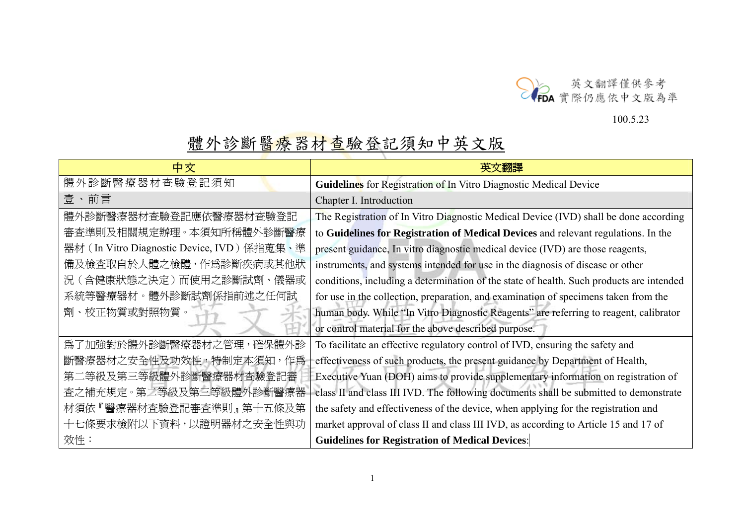

## 100.5.23

## 體外診斷醫療器材查驗登記須知中英文版

| 中文                                                                                                             |                                                                                          |
|----------------------------------------------------------------------------------------------------------------|------------------------------------------------------------------------------------------|
| 體外診斷醫療器材查驗登記須知                                                                                                 | Guidelines for Registration of In Vitro Diagnostic Medical Device                        |
| 壹、前言                                                                                                           | Chapter I. Introduction                                                                  |
| 體外診斷醫療器材查驗登記應依醫療器材查驗登記                                                                                         | The Registration of In Vitro Diagnostic Medical Device (IVD) shall be done according     |
| 審查準則及相關規定辦理。本須知所稱體外診斷醫療                                                                                        | to Guidelines for Registration of Medical Devices and relevant regulations. In the       |
| 器材 (In Vitro Diagnostic Device, IVD) 係指蒐集、準                                                                    | present guidance, In vitro diagnostic medical device (IVD) are those reagents,           |
| 備及檢查取自於人體之檢體,作爲診斷疾病或其他狀                                                                                        | instruments, and systems intended for use in the diagnosis of disease or other           |
| 況(含健康狀態之決定)而使用之診斷試劑、儀器或                                                                                        | conditions, including a determination of the state of health. Such products are intended |
| 系統等醫療器材。體外診斷試劑係指前述之任何試                                                                                         | for use in the collection, preparation, and examination of specimens taken from the      |
| 劑、校正物質或對照物質。                                                                                                   | human body. While "In Vitro Diagnostic Reagents" are referring to reagent, calibrator    |
|                                                                                                                | or control material for the above described purpose.                                     |
| 爲了加強對於體外診斷醫療器材之管理,確保體外診                                                                                        | To facilitate an effective regulatory control of IVD, ensuring the safety and            |
| 斷醫療器材之安全性及功效性,特制定本須知,作爲                                                                                        | effectiveness of such products, the present guidance by Department of Health,            |
| 第二等級及第三等級體外診斷醫療器材查驗登記審                                                                                         | Executive Yuan (DOH) aims to provide supplementary information on registration of        |
| 查之補充規定。第二等級及第三等級體外診斷醫療器                                                                                        | class II and class III IVD. The following documents shall be submitted to demonstrate    |
| 材須依『醫療器材査驗登記審査準則』 第十五條及第                                                                                       | the safety and effectiveness of the device, when applying for the registration and       |
| 十七條要求檢附以下資料,以證明器材之安全性與功<br>market approval of class II and class III IVD, as according to Article 15 and 17 of |                                                                                          |
| 效性:                                                                                                            | <b>Guidelines for Registration of Medical Devices:</b>                                   |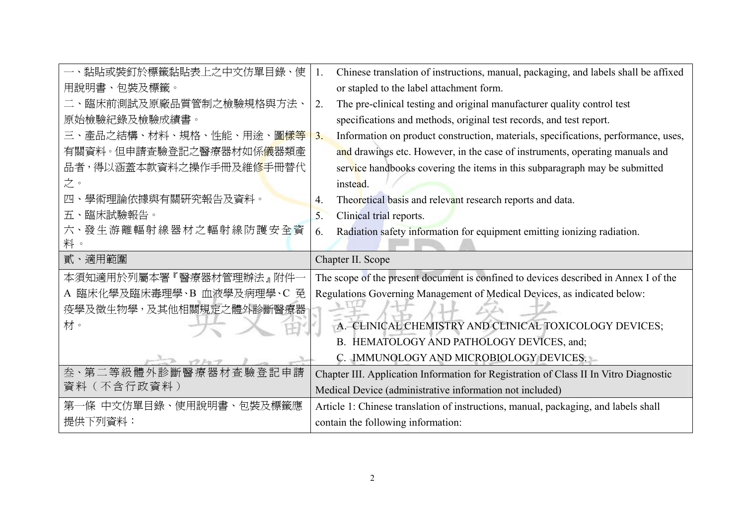| 一、黏貼或裝釘於標籤黏貼表上之中文仿單目錄、使                | 1. | Chinese translation of instructions, manual, packaging, and labels shall be affixed   |
|----------------------------------------|----|---------------------------------------------------------------------------------------|
| 用說明書、包裝及標籤。                            |    | or stapled to the label attachment form.                                              |
| 二、臨床前測試及原廠品質管制之檢驗規格與方法、                | 2. | The pre-clinical testing and original manufacturer quality control test               |
| 原始檢驗紀錄及檢驗成績書。                          |    | specifications and methods, original test records, and test report.                   |
| 三、產品之結構、材料、規格、性能、用途、圖樣等                | 3. | Information on product construction, materials, specifications, performance, uses,    |
| 有關資料。但申請查驗登記之醫療器材如係 <mark>儀</mark> 器類產 |    | and drawings etc. However, in the case of instruments, operating manuals and          |
| 品者,得以涵蓋本款資料之操作手冊及維修手冊替代                |    | service handbooks covering the items in this subparagraph may be submitted            |
| 之。                                     |    | instead.                                                                              |
| 學術理論依據與有關硏究報告及資料。<br>四                 | 4. | Theoretical basis and relevant research reports and data.                             |
| 臨床試驗報告。<br>五、                          | 5. | Clinical trial reports.                                                               |
| 六、發生游離輻射線器材之輻射線防護安全資                   | 6. | Radiation safety information for equipment emitting ionizing radiation.               |
| 料。                                     |    |                                                                                       |
|                                        |    |                                                                                       |
| 貳、適用範圍                                 |    | Chapter II. Scope                                                                     |
| 本須知適用於列屬本署『醫療器材管理辦法』附件一                |    | The scope of the present document is confined to devices described in Annex I of the  |
| A 臨床化學及臨床毒理學、B 血液學及病理學、C 免             |    | Regulations Governing Management of Medical Devices, as indicated below:              |
| 疫學及微生物學,及其他相關規定之體外診斷醫療器                |    |                                                                                       |
| 材。                                     |    | A. CLINICAL CHEMISTRY AND CLINICAL TOXICOLOGY DEVICES;                                |
|                                        |    | B. HEMATOLOGY AND PATHOLOGY DEVICES, and;                                             |
|                                        |    | C. IMMUNOLOGY AND MICROBIOLOGY DEVICES.                                               |
| 叁·第二等級體外診斷醫療器材查驗登記申請                   |    | Chapter III. Application Information for Registration of Class II In Vitro Diagnostic |
| 資料(不含行政資料)                             |    | Medical Device (administrative information not included)                              |
| ·條 中文仿單目錄、使用說明書、包裝及標籤應<br>第-           |    | Article 1: Chinese translation of instructions, manual, packaging, and labels shall   |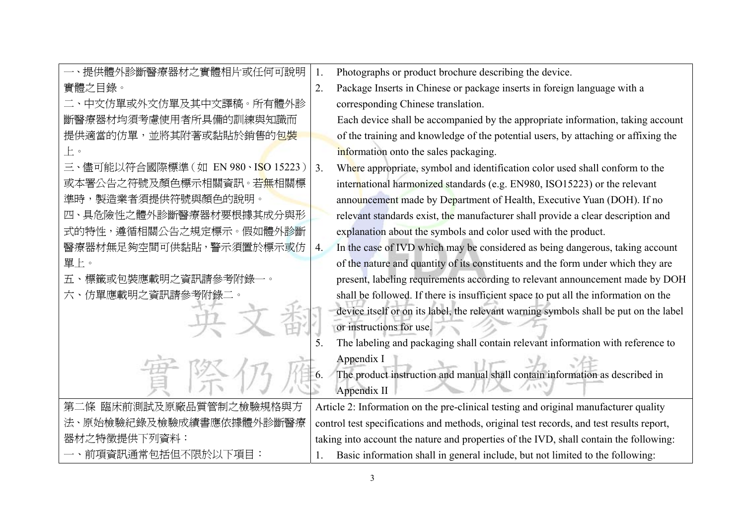| 一、提供體外診斷醫療器材之實體相片或任何可說明                                |    | Photographs or product brochure describing the device.                                   |
|--------------------------------------------------------|----|------------------------------------------------------------------------------------------|
| 實體之目錄。                                                 | 2. | Package Inserts in Chinese or package inserts in foreign language with a                 |
| 二、中文仿單或外文仿單及其中文譯稿。所有體外診                                |    | corresponding Chinese translation.                                                       |
| 斷醫療器材均須考慮使用者所具備的訓練與知識而                                 |    | Each device shall be accompanied by the appropriate information, taking account          |
| 提供適當的仿單,並將其附著或黏貼於銷售的包裝                                 |    | of the training and knowledge of the potential users, by attaching or affixing the       |
| $\mathsf{L}^{\circ}$                                   |    | information onto the sales packaging.                                                    |
| 三、儘可能以符合國際標準 (如 EN 980、I <mark>S</mark> O 15223 )   3. |    | Where appropriate, symbol and identification color used shall conform to the             |
| 或本署公告之符號及顏色標示相關資訊。若 <mark>無</mark> 相關標                 |    | international harmonized standards (e.g. EN980, ISO15223) or the relevant                |
| 準時,製造業者須提供符號與顏色的說明。                                    |    | announcement made by Department of Health, Executive Yuan (DOH). If no                   |
| 四、具危險性之體外診斷醫療器材要根據其成分與形                                |    | relevant standards exist, the manufacturer shall provide a clear description and         |
| 式的特性,遵循相關公告之規定標示。假如體外診斷                                |    | explanation about the symbols and color used with the product.                           |
| 醫療器材無足夠空間可供黏貼,警示須置於標示或仿                                | 4. | In the case of IVD which may be considered as being dangerous, taking account            |
| 單上。                                                    |    | of the nature and quantity of its constituents and the form under which they are         |
| 五、標籤或包裝應載明之資訊請參考附錄一。                                   |    | present, labeling requirements according to relevant announcement made by DOH            |
| 六、仿單應載明之資訊請參考附錄二。                                      |    | shall be followed. If there is insufficient space to put all the information on the      |
|                                                        |    | device itself or on its label, the relevant warning symbols shall be put on the label    |
|                                                        |    | or instructions for use.                                                                 |
|                                                        | 5  | The labeling and packaging shall contain relevant information with reference to          |
|                                                        |    | Appendix I                                                                               |
|                                                        | 6. | The product instruction and manual shall contain information as described in             |
|                                                        |    | Appendix II                                                                              |
| 第二條 臨床前測試及原廠品質管制之檢驗規格與方                                |    | Article 2: Information on the pre-clinical testing and original manufacturer quality     |
| 法、原始檢驗紀錄及檢驗成績書應依據體外診斷醫療                                |    | control test specifications and methods, original test records, and test results report, |
| 器材之特徵提供下列資料:                                           |    | taking into account the nature and properties of the IVD, shall contain the following:   |
| 一、前項資訊通常包括但不限於以下項目:                                    |    | Basic information shall in general include, but not limited to the following:            |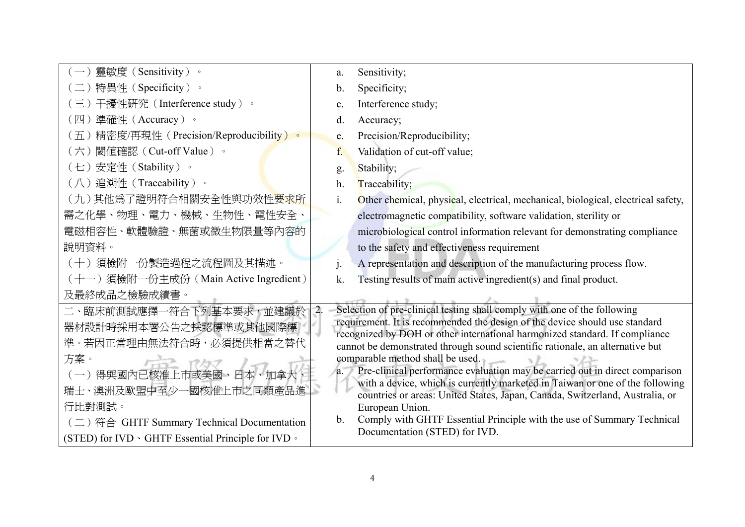| 靈敏度(Sensitivity)。                                   | a.               | Sensitivity;                                                                                                                                                 |
|-----------------------------------------------------|------------------|--------------------------------------------------------------------------------------------------------------------------------------------------------------|
| 二) 特異性 (Specificity) 。                              | $\mathbf b$ .    | Specificity;                                                                                                                                                 |
| 三) 干擾性研究 (Interference study) 。                     | $\mathbf{c}$ .   | Interference study;                                                                                                                                          |
| 〔四)準確性(Accuracy)。                                   | d.               | Accuracy;                                                                                                                                                    |
| (五)精密度/再現性 (Precision/Reproducibility)。             | e.               | Precision/Reproducibility;                                                                                                                                   |
| (六) 閾值確認 (Cut-off Value) 。                          | f.               | Validation of cut-off value;                                                                                                                                 |
| (七)安定性 (Stability)。                                 | g.               | Stability;                                                                                                                                                   |
| (八)追溯性 (Traceability)。                              | h.               | Traceability;                                                                                                                                                |
| (九)其他爲了證明符合相關安全性與功效性 <mark>要求所</mark>               | $i$ .            | Other chemical, physical, electrical, mechanical, biological, electrical safety,                                                                             |
| 需之化學、物理、電力、機械、生物性、電性安全、                             |                  | electromagnetic compatibility, software validation, sterility or                                                                                             |
| 電磁相容性、軟體驗證、無菌或微生物限量等內容的                             |                  | microbiological control information relevant for demonstrating compliance                                                                                    |
| 說明資料。                                               |                  | to the safety and effectiveness requirement                                                                                                                  |
| (十)須檢附一份製造過程之流程圖及其描述。                               |                  | A representation and description of the manufacturing process flow.                                                                                          |
| (十一) 須檢附一份主成份 (Main Active Ingredient)              | k.               | Testing results of main active ingredient(s) and final product.                                                                                              |
| 及最終成品之檢驗成績書。                                        |                  |                                                                                                                                                              |
| 二、臨床前測試應擇一符合下列基本要求,並建議於                             | $\overline{2}$ . | Selection of pre-clinical testing shall comply with one of the following                                                                                     |
| 器材設計時採用本署公告之採認標準或其他國際標                              |                  | requirement. It is recommended the design of the device should use standard<br>recognized by DOH or other international harmonized standard. If compliance   |
| 準。若因正當理由無法符合時,必須提供相當之替代                             |                  | cannot be demonstrated through sound scientific rationale, an alternative but                                                                                |
| 方案。                                                 |                  | comparable method shall be used.                                                                                                                             |
| (一)得與國內已核准上市或美國、日本、加拿大                              | a.               | Pre-clinical performance evaluation may be carried out in direct comparison                                                                                  |
| 瑞士、澳洲及歐盟中至少一國核准上市之同類產品進                             |                  | with a device, which is currently marketed in Taiwan or one of the following<br>countries or areas: United States, Japan, Canada, Switzerland, Australia, or |
| 行比對測試。                                              |                  | European Union.                                                                                                                                              |
| (二) 符合 GHTF Summary Technical Documentation         | $b_{-}$          | Comply with GHTF Essential Principle with the use of Summary Technical                                                                                       |
| (STED) for IVD · GHTF Essential Principle for IVD · |                  | Documentation (STED) for IVD.                                                                                                                                |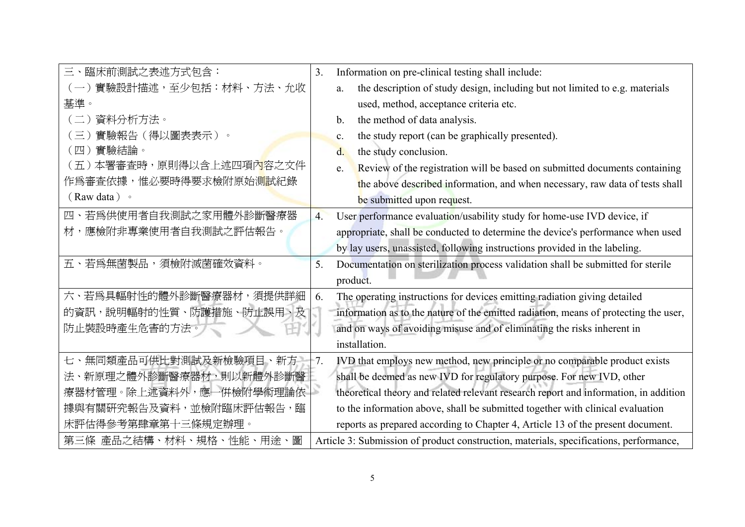| 三、臨床前測試之表述方式包含:             | 3.               | Information on pre-clinical testing shall include:                                     |
|-----------------------------|------------------|----------------------------------------------------------------------------------------|
| 實驗設計描述,至少包括:材料、方法、允收        |                  | the description of study design, including but not limited to e.g. materials<br>a.     |
| 基準。                         |                  | used, method, acceptance criteria etc.                                                 |
| 資料分析方法。                     |                  | the method of data analysis.<br>$b$ .                                                  |
| 實驗報告(得以圖表表示)。<br>$\equiv$   |                  | the study report (can be graphically presented).<br>C <sub>1</sub>                     |
| 實驗結論。<br>(四)                |                  | the study conclusion.<br>d.                                                            |
| 本署審查時,原則得以含上述四項內容之文件<br>(五) |                  | Review of the registration will be based on submitted documents containing<br>e.       |
| 作爲審查依據,惟必要時得要求檢附原始測試紀錄      |                  | the above described information, and when necessary, raw data of tests shall           |
| (Raw data) 。                |                  | be submitted upon request.                                                             |
| 四、若爲供使用者自我測試之家用體外診斷醫療器      | $\overline{4}$ . | User performance evaluation/usability study for home-use IVD device, if                |
| 材,應檢附非專業使用者自我測試之評估報告。       |                  | appropriate, shall be conducted to determine the device's performance when used        |
|                             |                  | by lay users, unassisted, following instructions provided in the labeling.             |
| 五、若爲無菌製品,須檢附滅菌確效資料。         | 5.               | Documentation on sterilization process validation shall be submitted for sterile       |
|                             |                  | product.                                                                               |
| 六、若爲具輻射性的體外診斷醫療器材,須提供詳細     | 6.               | The operating instructions for devices emitting radiation giving detailed              |
| 的資訊,說明輻射的性質、防護措施、防止誤用、及     |                  | information as to the nature of the emitted radiation, means of protecting the user,   |
| 防止裝設時產生危害的方法。               |                  | and on ways of avoiding misuse and of eliminating the risks inherent in                |
|                             |                  | installation.                                                                          |
| 七、無同類產品可供比對測試及新檢驗項目、新方      | $-7.$            | IVD that employs new method, new principle or no comparable product exists             |
| 法、新原理之體外診斷醫療器材,則以新體外診斷醫     |                  | shall be deemed as new IVD for regulatory purpose. For new IVD, other                  |
| 療器材管理。除上述資料外,應一併檢附學術理論依     |                  | theoretical theory and related relevant research report and information, in addition   |
| 據與有關研究報告及資料,並檢附臨床評估報告,臨     |                  | to the information above, shall be submitted together with clinical evaluation         |
| 床評估得參考第肆章第十三條規定辦理。          |                  | reports as prepared according to Chapter 4, Article 13 of the present document.        |
| 第三條 產品之結構、材料、規格、性能、用途、圖     |                  | Article 3: Submission of product construction, materials, specifications, performance, |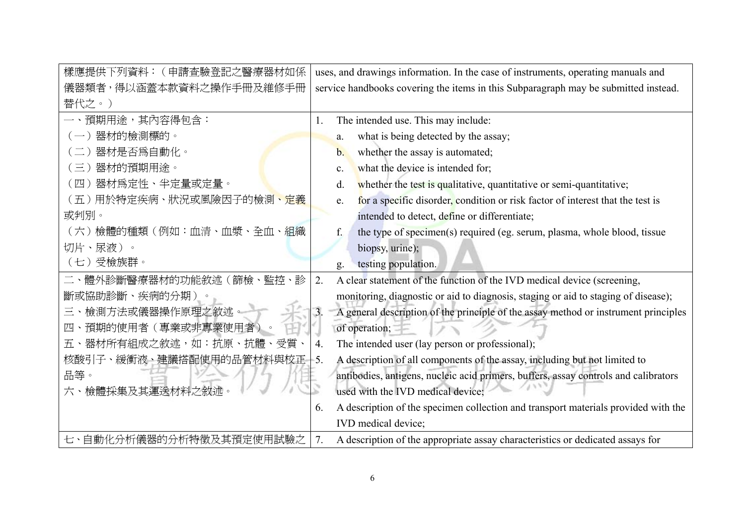| 樣應提供下列資料:(申請查驗登記之醫療器材如係               | uses, and drawings information. In the case of instruments, operating manuals and                       |  |  |
|---------------------------------------|---------------------------------------------------------------------------------------------------------|--|--|
| 儀器類者,得以涵蓋本款資料之操作手冊及維修手冊               | service handbooks covering the items in this Subparagraph may be submitted instead.                     |  |  |
| 替代之。)                                 |                                                                                                         |  |  |
| 預期用途,其內容得包含:                          | The intended use. This may include:                                                                     |  |  |
| (一)器材的檢測標的。                           | what is being detected by the assay;<br>a.                                                              |  |  |
| 器材是否為自動化。                             | whether the assay is automated;<br>$\mathbf{b}$ .                                                       |  |  |
| 器材的預期用途。<br>三)                        | what the device is intended for;<br>$\mathbf{c}$ .                                                      |  |  |
| 器材爲定性、半定量或定量。<br>$(\mathbb{H})$       | whether the test is qualitative, quantitative or semi-quantitative;<br>d.                               |  |  |
| (五)用於特定疾病、狀況或風險因子的檢測 <mark>、定義</mark> | for a specific disorder, condition or risk factor of interest that the test is<br>e.                    |  |  |
| 或判別。                                  | intended to detect, define or differentiate;                                                            |  |  |
| (六)檢體的種類 (例如:血清、血漿、全血、組織              | the type of specimen(s) required (eg. serum, plasma, whole blood, tissue<br>f.                          |  |  |
| 切片、尿液)。                               | biopsy, urine);                                                                                         |  |  |
| (七)受檢族群。                              | testing population.<br>g.                                                                               |  |  |
| 二、體外診斷醫療器材的功能敘述(篩檢、監控、診               | A clear statement of the function of the IVD medical device (screening,<br>2.                           |  |  |
| 斷或協助診斷、疾病的分期)。                        | monitoring, diagnostic or aid to diagnosis, staging or aid to staging of disease);                      |  |  |
| 三、檢測方法或儀器操作原理之敘述                      | $\overline{3}$ .<br>A general description of the principle of the assay method or instrument principles |  |  |
| 、預期的使用者(專業或非專業使用者)<br>四               | of operation;                                                                                           |  |  |
| 五、器材所有組成之敘述,如:抗原、抗體、受質                | The intended user (lay person or professional);<br>4.                                                   |  |  |
| 核酸引子、緩衝液、建議搭配使用的品管材料與校正               | A description of all components of the assay, including but not limited to<br>$-5.$                     |  |  |
| 品等。                                   | antibodies, antigens, nucleic acid primers, buffers, assay controls and calibrators                     |  |  |
| 六、檢體採集及其運送材料之敘述。                      | used with the IVD medical device;                                                                       |  |  |
|                                       | A description of the specimen collection and transport materials provided with the<br>6.                |  |  |
|                                       | IVD medical device;                                                                                     |  |  |
| 七、自動化分析儀器的分析特徵及其預定使用試驗之               | A description of the appropriate assay characteristics or dedicated assays for                          |  |  |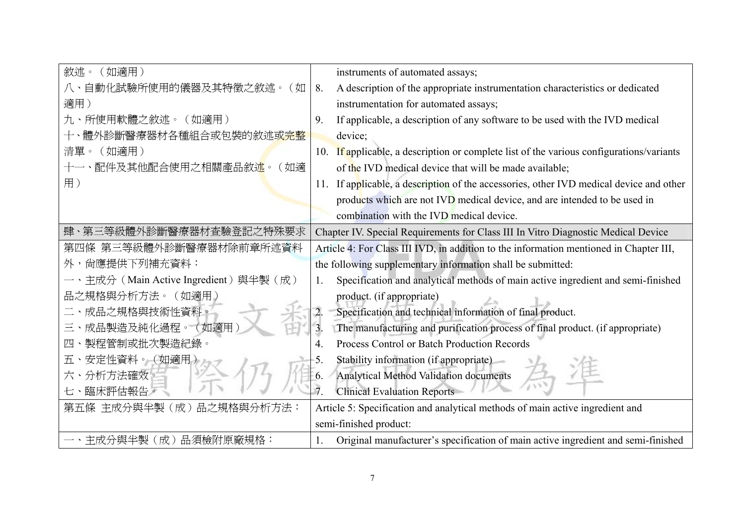| 敘述。<br>(如適用)                        | instruments of automated assays;                                                                   |
|-------------------------------------|----------------------------------------------------------------------------------------------------|
| 自動化試驗所使用的儀器及其特徵之敘述。<br>(如           | 8.<br>A description of the appropriate instrumentation characteristics or dedicated                |
| 適用)                                 | instrumentation for automated assays;                                                              |
| 所使用軟體之敘述。<br>(如適用)<br>九、            | If applicable, a description of any software to be used with the IVD medical<br>9.                 |
| 體外診斷醫療器材各種組合或包裝的敘述或完整               | device;                                                                                            |
| (如適用)<br>清單。                        | If applicable, a description or complete list of the various configurations/variants<br>10.        |
| 配件及其他配合使用之相關產品敘述。<br>(如適            | of the IVD medical device that will be made available;                                             |
| 用)                                  | If applicable, a description of the accessories, other IVD medical device and other<br>11.         |
|                                     | products which are not IVD medical device, and are intended to be used in                          |
|                                     | combination with the IVD medical device.                                                           |
| 肆、第三等級體外診斷醫療器材查驗登記之特殊要求             | Chapter IV. Special Requirements for Class III In Vitro Diagnostic Medical Device                  |
| 第四條 第三等級體外診斷醫療器材除前章所述資料             | Article 4: For Class III IVD, in addition to the information mentioned in Chapter III,             |
| 外,尙應提供下列補充資料:                       | the following supplementary information shall be submitted:                                        |
| 主成分 (Main Active Ingredient) 與半製(成) | Specification and analytical methods of main active ingredient and semi-finished<br>$\mathbf{1}$ . |
| 品之規格與分析方法。(如適用)                     | product. (if appropriate)                                                                          |
| 成品之規格與技術性資料。                        | Specification and technical information of final product.<br>$\overline{2}$                        |
| 成品製造及純化過程。(如適用<br>三                 | The manufacturing and purification process of final product. (if appropriate)<br>3 <sub>1</sub>    |
| 製程管制或批次製造紀錄。<br>四                   | Process Control or Batch Production Records<br>4.                                                  |
| 安定性資料。(如適用<br>五、                    | Stability information (if appropriate)<br>5.                                                       |
| 分析方法確效。<br>六                        | Analytical Method Validation documents<br>6.                                                       |
| 七、臨床評估報告。                           | $\overline{7}$<br><b>Clinical Evaluation Reports</b>                                               |
| 第五條 主成分與半製(成)品之規格與分析方法:             | Article 5: Specification and analytical methods of main active ingredient and                      |
|                                     |                                                                                                    |
|                                     | semi-finished product:                                                                             |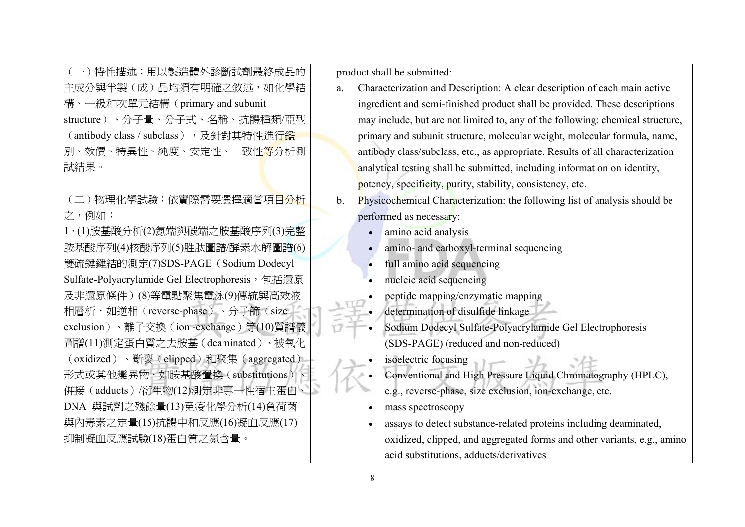| (一)特性描述:用以製造體外診斷試劑最終成品的                          | product shall be submitted:                                                                 |  |
|--------------------------------------------------|---------------------------------------------------------------------------------------------|--|
| 主成分與半製(成)品均須有明確之敘述,如化學結                          | Characterization and Description: A clear description of each main active<br>a.             |  |
| 構、一級和次單元結構 (primary and subunit                  | ingredient and semi-finished product shall be provided. These descriptions                  |  |
| structure)、分子量、分子式、名稱、抗體種類/亞型                    | may include, but are not limited to, any of the following: chemical structure,              |  |
| (antibody class / subclass), 及針對其特性進行鑑           | primary and subunit structure, molecular weight, molecular formula, name,                   |  |
| 別、效價、特異性、純度、安定性、一致性 <mark>等</mark> 分析測           | antibody class/subclass, etc., as appropriate. Results of all characterization              |  |
| 試結果。                                             | analytical testing shall be submitted, including information on identity,                   |  |
|                                                  | potency, specificity, purity, stability, consistency, etc.                                  |  |
| (二)物理化學試驗:依實際需要選擇適當項目分析                          | Physicochemical Characterization: the following list of analysis should be<br>$\mathbf b$ . |  |
| 之,例如:                                            | performed as necessary:                                                                     |  |
| 1、(1)胺基酸分析(2)氮端與碳端之胺基酸序列(3)完整                    | amino acid analysis                                                                         |  |
| 胺基酸序列(4)核酸序列(5)胜肽圖譜/酵素水解圖譜(6)                    | amino- and carboxyl-terminal sequencing<br>$\bullet$                                        |  |
| 雙硫鍵鍵結的測定(7)SDS-PAGE (Sodium Dodecyl              | full amino acid sequencing                                                                  |  |
| Sulfate-Polyacrylamide Gel Electrophoresis, 包括還原 | nucleic acid sequencing                                                                     |  |
| 及非還原條件)(8)等電點聚焦電泳(9)傳統與高效液                       | peptide mapping/enzymatic mapping                                                           |  |
| 相層析,如逆相(reverse-phase)、分子篩(size                  | determination of disulfide linkage                                                          |  |
| exclusion)、離子交換 (ion -exchange) 等(10)質譜儀         | Sodium Dodecyl Sulfate-Polyacrylamide Gel Electrophoresis                                   |  |
| 圖譜(11)測定蛋白質之去胺基(deaminated)、被氧化                  | (SDS-PAGE) (reduced and non-reduced)                                                        |  |
| (oxidized)、斷裂(clipped)和聚集(aggregated)            | isoelectric focusing                                                                        |  |
| 形式或其他變異物,如胺基酸置換(substitutions)                   | Conventional and High Pressure Liquid Chromatography (HPLC),                                |  |
| 併接 (adducts) /衍生物(12)測定非專一性宿主蛋白、                 | e.g., reverse-phase, size exclusion, ion-exchange, etc.                                     |  |
| DNA 與試劑之殘餘量(13)免疫化學分析(14)負荷菌                     | mass spectroscopy                                                                           |  |
| 與內毒素之定量(15)抗體中和反應(16)凝血反應(17)                    | assays to detect substance-related proteins including deaminated,                           |  |
| 抑制凝血反應試驗(18)蛋白質之氮含量。                             | oxidized, clipped, and aggregated forms and other variants, e.g., amino                     |  |
|                                                  | acid substitutions, adducts/derivatives                                                     |  |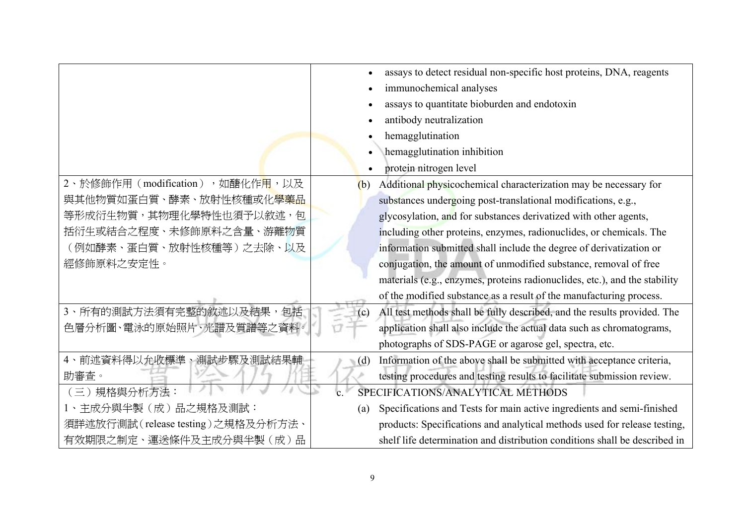|                                               |             | assays to detect residual non-specific host proteins, DNA, reagents        |
|-----------------------------------------------|-------------|----------------------------------------------------------------------------|
|                                               |             | immunochemical analyses                                                    |
|                                               |             | assays to quantitate bioburden and endotoxin                               |
|                                               |             | antibody neutralization                                                    |
|                                               |             | hemagglutination                                                           |
|                                               |             | hemagglutination inhibition                                                |
|                                               |             | protein nitrogen level                                                     |
| 2、於修飾作用(modification),如醣化作 <mark>用</mark> ,以及 | (b)         | Additional physicochemical characterization may be necessary for           |
| 與其他物質如蛋白質、酵素、放射性核種或化 <mark>學藥品</mark>         |             | substances undergoing post-translational modifications, e.g.,              |
| 等形成衍生物質,其物理化學特性也須予以敘述,包                       |             | glycosylation, and for substances derivatized with other agents,           |
| 括衍生或結合之程度、未修飾原料之含量、游離物質                       |             | including other proteins, enzymes, radionuclides, or chemicals. The        |
| (例如酵素、蛋白質、放射性核種等)之去除、以及                       |             | information submitted shall include the degree of derivatization or        |
| 經修飾原料之安定性。                                    |             | conjugation, the amount of unmodified substance, removal of free           |
|                                               |             | materials (e.g., enzymes, proteins radionuclides, etc.), and the stability |
|                                               |             | of the modified substance as a result of the manufacturing process.        |
| 3、所有的測試方法須有完整的敘述以及結果,<br>句括                   | (c)         | All test methods shall be fully described, and the results provided. The   |
| 色層分析圖、電泳的原始照片、光譜及質譜等之資料。                      |             | application shall also include the actual data such as chromatograms,      |
|                                               |             | photographs of SDS-PAGE or agarose gel, spectra, etc.                      |
| 4、前述資料得以允收標準、測試步驟及測試結果輔                       | (d)         | Information of the above shall be submitted with acceptance criteria,      |
| 助審查。                                          |             | testing procedures and testing results to facilitate submission review.    |
| (三) 規格與分析方法:                                  | $\mathbf c$ | SPECIFICATIONS/ANALYTICAL METHODS                                          |
| 1、主成分與半製(成)品之規格及測試:                           | (a)         | Specifications and Tests for main active ingredients and semi-finished     |
| 須詳述放行測試(release testing)之規格及分析方法、             |             | products: Specifications and analytical methods used for release testing,  |
| 有效期限之制定、運送條件及主成分與半製(成)品                       |             | shelf life determination and distribution conditions shall be described in |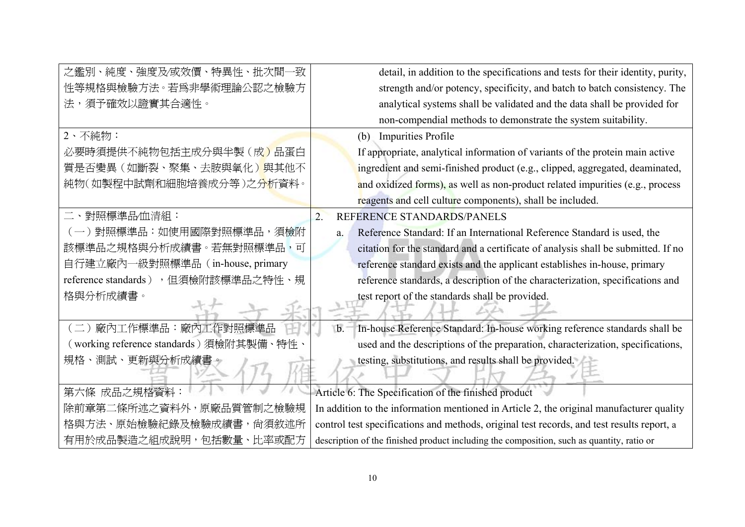| 之鑑別、純度、強度及⁄或效價、特異性、批次間                  | detail, in addition to the specifications and tests for their identity, purity,            |
|-----------------------------------------|--------------------------------------------------------------------------------------------|
| 性等規格與檢驗方法。若爲非學術理論公認之檢驗方                 | strength and/or potency, specificity, and batch to batch consistency. The                  |
| 法,須予確效以證實其合適性。                          | analytical systems shall be validated and the data shall be provided for                   |
|                                         | non-compendial methods to demonstrate the system suitability.                              |
| 2、不純物:                                  | <b>Impurities Profile</b><br>(b)                                                           |
| 必要時須提供不純物包括主成分與半製(成)品蛋白                 | If appropriate, analytical information of variants of the protein main active              |
| 質是否變異(如斷裂、聚集、去胺與氧化)與其他不                 | ingredient and semi-finished product (e.g., clipped, aggregated, deaminated,               |
| 純物(如製程中試劑和細胞培養成分等)之分析資料。                | and oxidized forms), as well as non-product related impurities (e.g., process              |
|                                         | reagents and cell culture components), shall be included.                                  |
| 二、對照標準品/血清組:                            | REFERENCE STANDARDS/PANELS<br>$\overline{2}$ .                                             |
| )對照標準品:如使用國際對照標準品,須檢附                   | Reference Standard: If an International Reference Standard is used, the<br>a.              |
| 該標準品之規格與分析成績書。若無對照標準品,可                 | citation for the standard and a certificate of analysis shall be submitted. If no          |
| 自行建立廠內一級對照標準品 (in-house, primary        | reference standard exists and the applicant establishes in-house, primary                  |
| reference standards),但須檢附該標準品之特性、規      | reference standards, a description of the characterization, specifications and             |
| 格與分析成績書。                                | test report of the standards shall be provided.                                            |
|                                         |                                                                                            |
| (二)廠內工作標準品:廠內工作對照標準品                    | In-house Reference Standard: In-house working reference standards shall be<br>$b$ .        |
| (working reference standards)須檢附其製備、特性、 | used and the descriptions of the preparation, characterization, specifications,            |
| 規格、測試、更新與分析成績書。                         | testing, substitutions, and results shall be provided.                                     |
|                                         |                                                                                            |
| 第六條 成品之規格資料                             | Article 6: The Specification of the finished product                                       |
| 除前章第二條所述之資料外,原廠品質管制之檢驗規                 | In addition to the information mentioned in Article 2, the original manufacturer quality   |
| 格與方法、原始檢驗紀錄及檢驗成績書,尙須敘述所                 | control test specifications and methods, original test records, and test results report, a |
| 有用於成品製造之組成說明,包括數量、比率或配方                 | description of the finished product including the composition, such as quantity, ratio or  |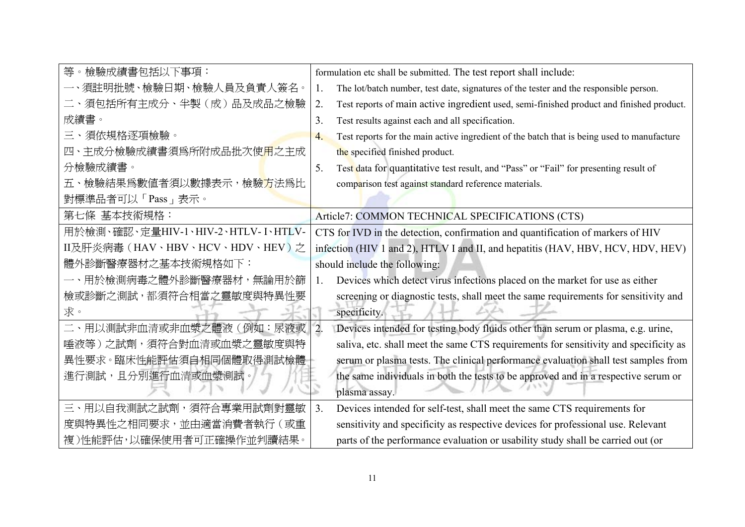| 等。檢驗成績書包括以下事項:                      | formulation etc shall be submitted. The test report shall include:                                   |
|-------------------------------------|------------------------------------------------------------------------------------------------------|
| 一、須註明批號、檢驗日期、檢驗人員及負責人簽名。            | The lot/batch number, test date, signatures of the tester and the responsible person.<br>1.          |
| 二、須包括所有主成分、半製(成)品及成品之檢驗             | Test reports of main active ingredient used, semi-finished product and finished product.<br>2.       |
| 成績書。                                | 3.<br>Test results against each and all specification.                                               |
| 三、須依規格逐項檢驗。                         | Test reports for the main active ingredient of the batch that is being used to manufacture<br>4.     |
| 四、主成分檢驗成績書須爲所附成品批次使用之主成             | the specified finished product.                                                                      |
| 分檢驗成績書。                             | 5.<br>Test data for quantitative test result, and "Pass" or "Fail" for presenting result of          |
| 五、檢驗結果爲數值者須以數據表示,檢驗方法爲比             | comparison test against standard reference materials.                                                |
| 對標準品者可以「Pass」表示。                    |                                                                                                      |
| 第七條 基本技術規格:                         | Article7: COMMON TECHNICAL SPECIFICATIONS (CTS)                                                      |
| 用於檢測、確認、定量HIV-1、HIV-2、HTLV- I、HTLV- | CTS for IVD in the detection, confirmation and quantification of markers of HIV                      |
| II及肝炎病毒(HAV、HBV、HCV、HDV、HEV)之       | infection (HIV 1 and 2), HTLV I and II, and hepatitis (HAV, HBV, HCV, HDV, HEV)                      |
| 體外診斷醫療器材之基本技術規格如下:                  | should include the following:                                                                        |
| 一、用於檢測病毒之體外診斷醫療器材,無論用於篩             | Devices which detect virus infections placed on the market for use as either<br>$1_{-}$              |
| 檢或診斷之測試,都須符合相當之靈敏度與特異性要             | screening or diagnostic tests, shall meet the same requirements for sensitivity and                  |
| 求。                                  | specificity.                                                                                         |
| 二、用以測試非血清或非血漿之體液(例如:尿液或             | $\overline{2}$ .<br>Devices intended for testing body fluids other than serum or plasma, e.g. urine, |
| 唾液等)之試劑,須符合對血清或血漿之靈敏度與特             | saliva, etc. shall meet the same CTS requirements for sensitivity and specificity as                 |
| 異性要求。臨床性能評估須自相同個體取得測試檢體             | serum or plasma tests. The clinical performance evaluation shall test samples from                   |
| 進行測試,且分別進行血清或血漿測試。                  | the same individuals in both the tests to be approved and in a respective serum or                   |
|                                     | plasma assay.                                                                                        |
| 三、用以自我測試之試劑,須符合專業用試劑對靈敏             | Devices intended for self-test, shall meet the same CTS requirements for<br>3.                       |
| 度與特異性之相同要求,並由適當消費者執行(或重             | sensitivity and specificity as respective devices for professional use. Relevant                     |
| 複)性能評估,以確保使用者可正確操作並判讀結果。            | parts of the performance evaluation or usability study shall be carried out (or                      |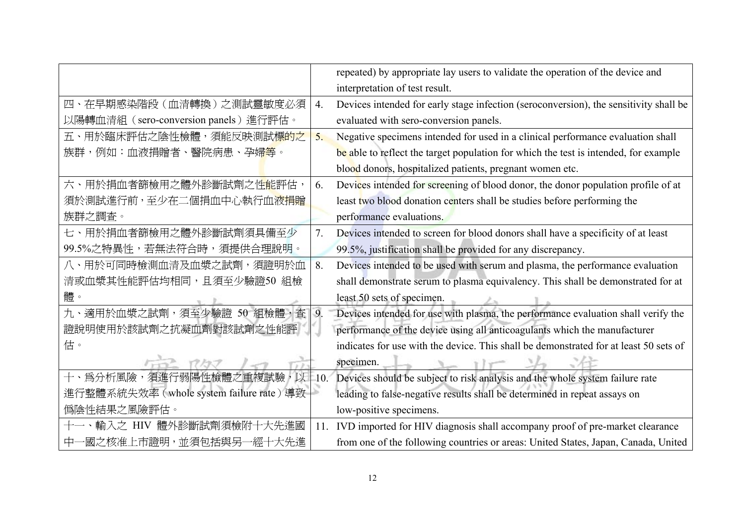|                                          |        | repeated) by appropriate lay users to validate the operation of the device and        |
|------------------------------------------|--------|---------------------------------------------------------------------------------------|
|                                          |        | interpretation of test result.                                                        |
| 四、在早期感染階段(血清轉換)之測試靈敏度必須                  | 4.     | Devices intended for early stage infection (seroconversion), the sensitivity shall be |
| 以陽轉血清組 (sero-conversion panels) 進行評估。    |        | evaluated with sero-conversion panels.                                                |
| 五、用於臨床評估之陰性檢體,須能反映測試標的之                  | 5.     | Negative specimens intended for used in a clinical performance evaluation shall       |
| 族群,例如:血液捐贈者、醫院病患、孕婦 <mark>等</mark> 。     |        | be able to reflect the target population for which the test is intended, for example  |
|                                          |        | blood donors, hospitalized patients, pregnant women etc.                              |
| 六、用於捐血者篩檢用之體外診斷試劑之性 <mark>能</mark> 評估,   | 6.     | Devices intended for screening of blood donor, the donor population profile of at     |
| 須於測試進行前,至少在二個捐血中心執行血液捐贈                  |        | least two blood donation centers shall be studies before performing the               |
| 族群之調査。                                   |        | performance evaluations.                                                              |
| 七、用於捐血者篩檢用之體外診斷試劑須具備至少                   | 7.     | Devices intended to screen for blood donors shall have a specificity of at least      |
| 99.5%之特異性,若無法符合時,須提供合理說明。                |        | 99.5%, justification shall be provided for any discrepancy.                           |
| 八、用於可同時檢測血清及血漿之試劑,須證明於血                  | 8.     | Devices intended to be used with serum and plasma, the performance evaluation         |
| 清或血漿其性能評估均相同,且須至少驗證50 組檢                 |        | shall demonstrate serum to plasma equivalency. This shall be demonstrated for at      |
| 體。                                       |        | least 50 sets of specimen.                                                            |
| 九、適用於血漿之試劑,須至少驗證 50 組檢體,查                | 9.     | Devices intended for use with plasma, the performance evaluation shall verify the     |
| 證說明使用於該試劑之抗凝血劑對該試劑之性能評                   |        | performance of the device using all anticoagulants which the manufacturer             |
| 估。                                       |        | indicates for use with the device. This shall be demonstrated for at least 50 sets of |
|                                          |        | specimen.                                                                             |
| 十、爲分析風險,須進行弱陽性檢體之重複試驗,以                  | $-10.$ | Devices should be subject to risk analysis and the whole system failure rate          |
| 進行整體系統失效率 (whole system failure rate) 導致 |        | leading to false-negative results shall be determined in repeat assays on             |
| 僞陰性結果之風險評估。                              |        | low-positive specimens.                                                               |
| 輸入之 HIV 體外診斷試劑須檢附十大先進國                   | 11.    | IVD imported for HIV diagnosis shall accompany proof of pre-market clearance          |
| 中一國之核准上市證明,並須包括與另一經十大先進                  |        | from one of the following countries or areas: United States, Japan, Canada, United    |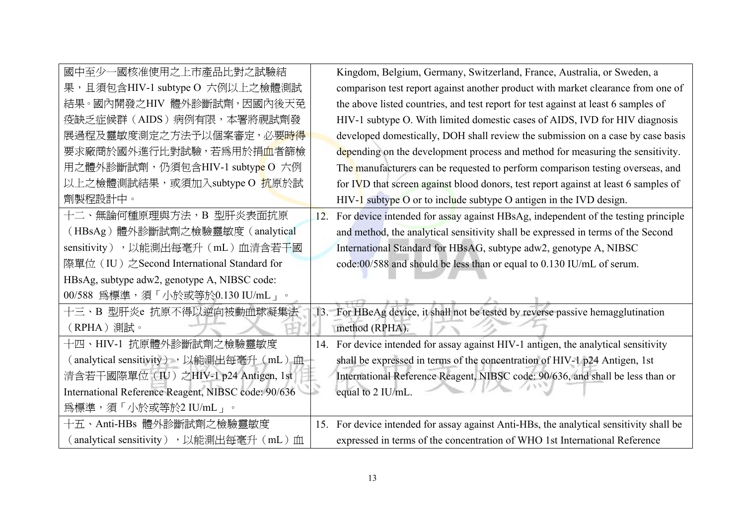| 國中至少一國核准使用之上市產品比對之試驗結                               |     | Kingdom, Belgium, Germany, Switzerland, France, Australia, or Sweden, a             |
|-----------------------------------------------------|-----|-------------------------------------------------------------------------------------|
| 果,且須包含HIV-1 subtype O 六例以上之檢體測試                     |     | comparison test report against another product with market clearance from one of    |
| 結果。國內開發之HIV 體外診斷試劑,因國內後天免                           |     | the above listed countries, and test report for test against at least 6 samples of  |
| 疫缺乏症候群(AIDS)病例有限,本署將視試劑發                            |     | HIV-1 subtype O. With limited domestic cases of AIDS, IVD for HIV diagnosis         |
| 展過程及靈敏度測定之方法予以個案審定,必要 <del>時得</del>                 |     | developed domestically, DOH shall review the submission on a case by case basis     |
| 要求廠商於國外進行比對試驗,若爲用於捐 <mark>血</mark> 者篩檢              |     | depending on the development process and method for measuring the sensitivity.      |
| 用之體外診斷試劑,仍須包含HIV-1 subtyp <mark>e</mark> O 六例       |     | The manufacturers can be requested to perform comparison testing overseas, and      |
| 以上之檢體測試結果,或須加入subtype O 抗原於試                        |     | for IVD that screen against blood donors, test report against at least 6 samples of |
| 劑製程設計中。                                             |     | $HIV-1$ subtype O or to include subtype O antigen in the IVD design.                |
| 十二、無論何種原理與方法,B 型肝炎表面抗原                              | 12. | For device intended for assay against HBsAg, independent of the testing principle   |
| (HBsAg)體外診斷試劑之檢驗靈敏度 (analytical                     |     | and method, the analytical sensitivity shall be expressed in terms of the Second    |
| sensitivity), 以能測出每毫升 (mL) 血清含若干國                   |     | International Standard for HBsAG, subtype adw2, genotype A, NIBSC                   |
| 際單位 (IU) 之Second International Standard for         |     | code:00/588 and should be less than or equal to 0.130 IU/mL of serum.               |
| HBsAg, subtype adw2, genotype A, NIBSC code:        |     |                                                                                     |
| 00/588 為標準,須「小於或等於0.130 IU/mL」。                     |     |                                                                                     |
| 十三、B 型肝炎e 抗原不得以逆向被動血球凝集法                            |     | 13. For HBeAg device, it shall not be tested by reverse passive hemagglutination    |
| (RPHA)測試。                                           |     | method (RPHA).                                                                      |
| 十四、HIV-1 抗原體外診斷試劑之檢驗靈敏度                             | 14. | For device intended for assay against HIV-1 antigen, the analytical sensitivity     |
| (analytical sensitivity), 以能測出每毫升(mL)血              |     | shall be expressed in terms of the concentration of HIV-1 p24 Antigen, 1st          |
| 清含若干國際單位 (IU) 之HIV-1 p24 Antigen, 1st               |     | International Reference Reagent, NIBSC code: 90/636, and shall be less than or      |
| International Reference Reagent, NIBSC code: 90/636 | ×   | equal to 2 IU/mL.                                                                   |
| 為標準,須「小於或等於2 IU/mL」。                                |     |                                                                                     |
| 十五、Anti-HBs 體外診斷試劑之檢驗靈敏度                            | 15. | For device intended for assay against Anti-HBs, the analytical sensitivity shall be |
| (analytical sensitivity), 以能測出每毫升(mL)血              |     | expressed in terms of the concentration of WHO 1st International Reference          |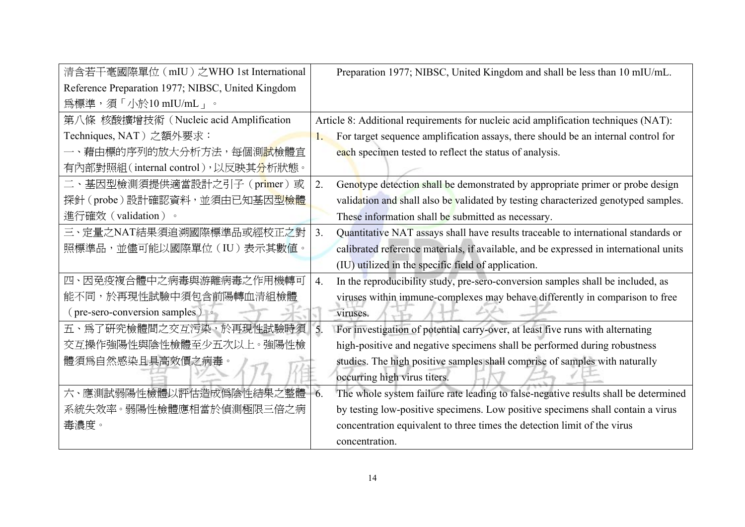| 清含若干毫國際單位 (mIU) 之WHO 1st International            | Preparation 1977; NIBSC, United Kingdom and shall be less than 10 mIU/mL. |                                                                                       |
|---------------------------------------------------|---------------------------------------------------------------------------|---------------------------------------------------------------------------------------|
| Reference Preparation 1977; NIBSC, United Kingdom |                                                                           |                                                                                       |
| 為標準,須「小於10 mIU/mL」。                               |                                                                           |                                                                                       |
| 第八條 核酸擴增技術 (Nucleic acid Amplification            |                                                                           | Article 8: Additional requirements for nucleic acid amplification techniques (NAT):   |
| Techniques, NAT) 之額外要求:                           |                                                                           | For target sequence amplification assays, there should be an internal control for     |
| 一、藉由標的序列的放大分析方法,每個測 <mark>試</mark> 檢體宜            |                                                                           | each specimen tested to reflect the status of analysis.                               |
| 有內部對照組(internal control),以反映其分析狀態。                |                                                                           |                                                                                       |
| 二、基因型檢測須提供適當設計之引子 (primer) 或                      | 2.                                                                        | Genotype detection shall be demonstrated by appropriate primer or probe design        |
| 探針(probe)設計確認資料,並須由已知基因型檢體                        |                                                                           | validation and shall also be validated by testing characterized genotyped samples.    |
| 進行確效 (validation)。                                |                                                                           | These information shall be submitted as necessary.                                    |
| 三、定量之NAT結果須追溯國際標準品或經校正之對                          | 3.                                                                        | Quantitative NAT assays shall have results traceable to international standards or    |
| 照標準品,並儘可能以國際單位 (IU) 表示其數值。                        |                                                                           | calibrated reference materials, if available, and be expressed in international units |
|                                                   |                                                                           | (IU) utilized in the specific field of application.                                   |
| 四、因免疫複合體中之病毒與游離病毒之作用機轉可                           | 4.                                                                        | In the reproducibility study, pre-sero-conversion samples shall be included, as       |
| 能不同,於再現性試驗中須包含前陽轉血清組檢體                            |                                                                           | viruses within immune-complexes may behave differently in comparison to free          |
| (pre-sero-conversion samples) •                   |                                                                           | viruses.                                                                              |
| 五、爲了研究檢體間之交互污染,於再現性試驗時須                           | 5.                                                                        | For investigation of potential carry-over, at least five runs with alternating        |
| 交互操作強陽性與陰性檢體至少五次以上。強陽性檢                           |                                                                           | high-positive and negative specimens shall be performed during robustness             |
| 體須爲自然感染且具高效價之病毒。                                  |                                                                           | studies. The high positive samples shall comprise of samples with naturally           |
|                                                   |                                                                           | occurring high virus titers.                                                          |
| 六、應測試弱陽性檢體以評估造成僞陰性結果之整體                           | 6.                                                                        | The whole system failure rate leading to false-negative results shall be determined   |
| 系統失效率。弱陽性檢體應相當於偵測極限三倍之病                           |                                                                           | by testing low-positive specimens. Low positive specimens shall contain a virus       |
| 毒濃度。                                              |                                                                           | concentration equivalent to three times the detection limit of the virus              |
|                                                   |                                                                           | concentration.                                                                        |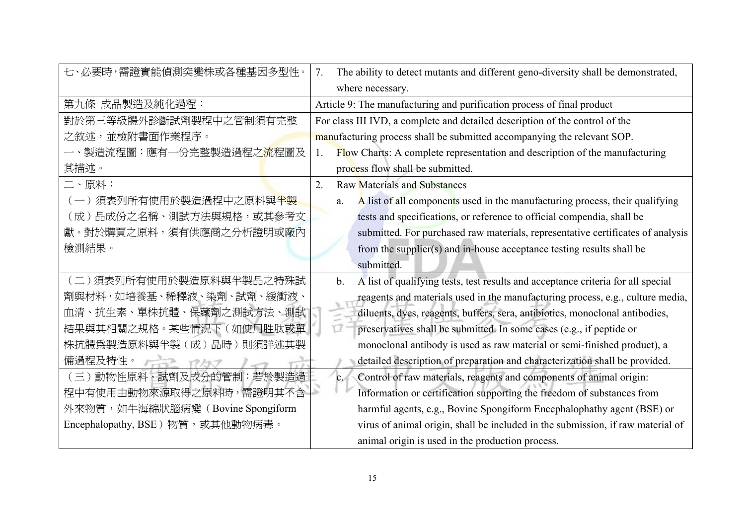| 七、必要時,需證實能偵測突變株或各種基因多型性。               | The ability to detect mutants and different geno-diversity shall be demonstrated,<br>7. |  |  |  |
|----------------------------------------|-----------------------------------------------------------------------------------------|--|--|--|
|                                        | where necessary.                                                                        |  |  |  |
| 第九條 成品製造及純化過程:                         | Article 9: The manufacturing and purification process of final product                  |  |  |  |
| 對於第三等級體外診斷試劑製程中之管制須有完整                 | For class III IVD, a complete and detailed description of the control of the            |  |  |  |
| 之敘述,並檢附書面作業程序。                         | manufacturing process shall be submitted accompanying the relevant SOP.                 |  |  |  |
| 一、製造流程圖:應有一份完整製造過程之 <mark>流</mark> 程圖及 | Flow Charts: A complete representation and description of the manufacturing<br>1.       |  |  |  |
| 其描述。                                   | process flow shall be submitted.                                                        |  |  |  |
| 二、原料:                                  | $\overline{2}$ .<br><b>Raw Materials and Substances</b>                                 |  |  |  |
| (一)須表列所有使用於製造過程中之原料與半製                 | A list of all components used in the manufacturing process, their qualifying<br>a.      |  |  |  |
| (成)品成份之名稱、測試方法與規格,或其參考文                | tests and specifications, or reference to official compendia, shall be                  |  |  |  |
| 獻。對於購買之原料,須有供應商之分析證明或廠內                | submitted. For purchased raw materials, representative certificates of analysis         |  |  |  |
| 檢測結果。                                  | from the supplier(s) and in-house acceptance testing results shall be                   |  |  |  |
|                                        | submitted.                                                                              |  |  |  |
| (二)須表列所有使用於製造原料與半製品之特殊試                | A list of qualifying tests, test results and acceptance criteria for all special<br>b.  |  |  |  |
| 劑與材料,如培養基、稀釋液、染劑、試劑、緩衝液、               | reagents and materials used in the manufacturing process, e.g., culture media,          |  |  |  |
| 血清、抗生素、單株抗體、保藏劑之測試方法、測試                | diluents, dyes, reagents, buffers, sera, antibiotics, monoclonal antibodies,            |  |  |  |
| 結果與其相關之規格。某些情況下(如使用胜肽或單                | ٣Ī<br>preservatives shall be submitted. In some cases (e.g., if peptide or              |  |  |  |
| 株抗體爲製造原料與半製 (成) 品時) 則須詳述其製             | monoclonal antibody is used as raw material or semi-finished product), a                |  |  |  |
| 備過程及特性。<br>$r \rightarrow r$           | detailed description of preparation and characterization shall be provided.             |  |  |  |
| (三)動物性原料、試劑及成分的管制:若於製造過                | Control of raw materials, reagents and components of animal origin:<br>c.               |  |  |  |
| 程中有使用由動物來源取得之原料時,需證明其不含                | Information or certification supporting the freedom of substances from                  |  |  |  |
| 外來物質,如牛海綿狀腦病變 (Bovine Spongiform       | harmful agents, e.g., Bovine Spongiform Encephalophathy agent (BSE) or                  |  |  |  |
| Encephalopathy, BSE)物質,或其他動物病毒。        | virus of animal origin, shall be included in the submission, if raw material of         |  |  |  |
|                                        | animal origin is used in the production process.                                        |  |  |  |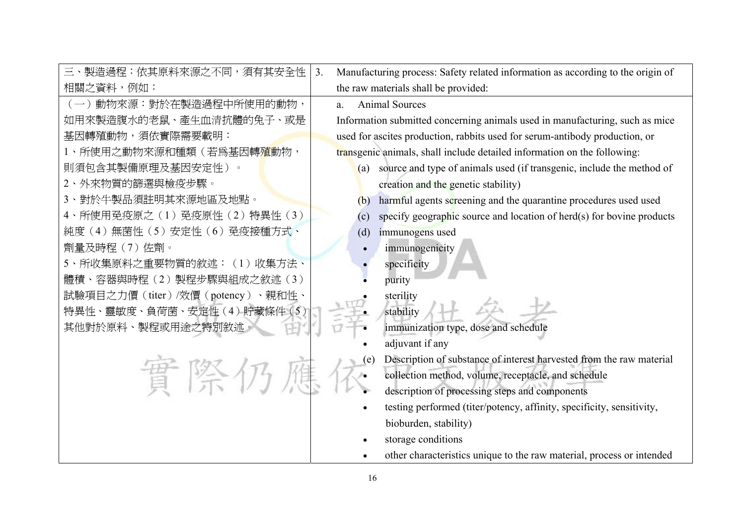| 三、製造過程:依其原料來源之不同,須有其安全性                | Manufacturing process: Safety related information as according to the origin of<br>3 <sub>1</sub> |  |  |
|----------------------------------------|---------------------------------------------------------------------------------------------------|--|--|
| 相關之資料,例如:                              | the raw materials shall be provided:                                                              |  |  |
| (一)動物來源:對於在製造過程中所使用的動物,                | <b>Animal Sources</b><br>a.                                                                       |  |  |
| 如用來製造腹水的老鼠、產生血清抗體的兔子、或是                | Information submitted concerning animals used in manufacturing, such as mice                      |  |  |
| 基因轉殖動物,須依實際需要載明:                       | used for ascites production, rabbits used for serum-antibody production, or                       |  |  |
| 1、所使用之動物來源和種類(若爲基因轉 <mark>殖</mark> 動物, | transgenic animals, shall include detailed information on the following:                          |  |  |
| 則須包含其製備原理及基因安定性)。                      | (a) source and type of animals used (if transgenic, include the method of                         |  |  |
| 2、外來物質的篩選與檢疫步驟。                        | creation and the genetic stability)                                                               |  |  |
| 3、對於牛製品須註明其來源地區及地點。                    | harmful agents screening and the quarantine procedures used used<br>(b)                           |  |  |
| 4、所使用免疫原之(1)免疫原性(2)特異性(3)              | specify geographic source and location of herd(s) for bovine products<br>(c)                      |  |  |
| 純度(4)無菌性(5)安定性(6)免疫接種方式、               | immunogens used<br>(d)                                                                            |  |  |
| 劑量及時程(7)佐劑。                            | immunogenicity                                                                                    |  |  |
| 5、所收集原料之重要物質的敘述: (1) 收集方法、             | specificity                                                                                       |  |  |
| 體積、容器與時程(2)製程步驟與組成之敘述(3)               | purity                                                                                            |  |  |
| 試驗項目之力價(titer)/效價(potency)、親和性、        | sterility                                                                                         |  |  |
| 特異性、靈敏度、負荷菌、安定性 (4) 貯藏條件 (5)           | stability                                                                                         |  |  |
| 其他對於原料、製程或用途之特別敘述。                     | immunization type, dose and schedule                                                              |  |  |
|                                        | adjuvant if any                                                                                   |  |  |
|                                        | Description of substance of interest harvested from the raw material<br>(e)                       |  |  |
| 置際仍                                    | collection method, volume, receptacle, and schedule                                               |  |  |
|                                        | description of processing steps and components                                                    |  |  |
|                                        | testing performed (titer/potency, affinity, specificity, sensitivity,<br>$\bullet$                |  |  |
|                                        | bioburden, stability)                                                                             |  |  |
|                                        | storage conditions                                                                                |  |  |
|                                        | other characteristics unique to the raw material, process or intended                             |  |  |
|                                        | 16                                                                                                |  |  |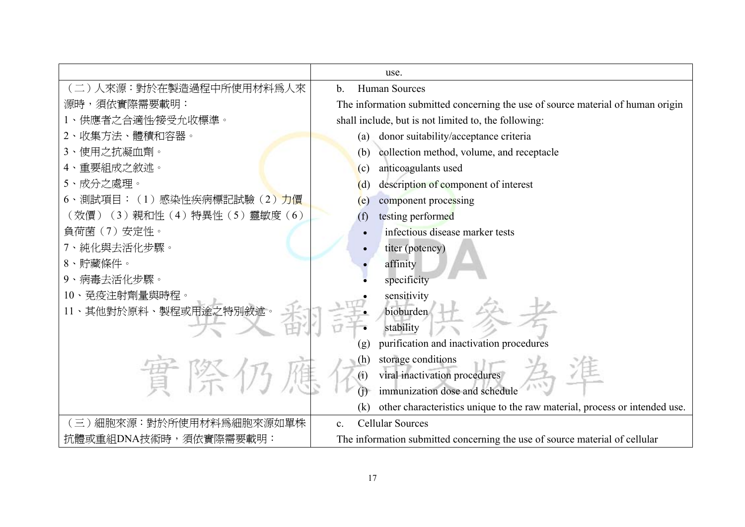|                                  | use.                                                                              |  |  |
|----------------------------------|-----------------------------------------------------------------------------------|--|--|
| 人來源:對於在製造過程中所使用材料爲人來             | <b>Human Sources</b><br>$\mathbf{b}$ .                                            |  |  |
| 源時,須依實際需要載明:                     | The information submitted concerning the use of source material of human origin   |  |  |
| 供應者之合適性/接受允收標準。                  | shall include, but is not limited to, the following:                              |  |  |
| 2、收集方法、體積和容器。                    | donor suitability/acceptance criteria<br>(a)                                      |  |  |
| 使用之抗凝血劑。                         | collection method, volume, and receptacle<br>(b)                                  |  |  |
| 重要組成之敘述。                         | anticoagulants used<br>(c)                                                        |  |  |
| 5、成分之處理。                         | description of component of interest<br>(d)                                       |  |  |
| 6、測試項目: (1)感染性疾病標記試驗(2)力價        | component processing<br>(e)                                                       |  |  |
| (效價) (3) 親和性 (4) 特異性 (5) 靈敏度 (6) | testing performed<br>(f)                                                          |  |  |
| 負荷菌 (7) 安定性。                     | infectious disease marker tests                                                   |  |  |
| 7、純化與去活化步驟。                      | titer (potency)                                                                   |  |  |
| 8、貯藏條件。                          | affinity                                                                          |  |  |
| 9、病毒去活化步驟。                       | specificity                                                                       |  |  |
| 10、免疫注射劑量與時程。                    | sensitivity                                                                       |  |  |
| 11、其他對於原料、製程或用途之特別敘述。            | bioburden                                                                         |  |  |
|                                  | stability                                                                         |  |  |
|                                  | purification and inactivation procedures<br>(g)                                   |  |  |
|                                  | storage conditions<br>(h)                                                         |  |  |
| 晋 際 伊                            | viral inactivation procedures<br>(i)                                              |  |  |
|                                  | immunization dose and schedule                                                    |  |  |
|                                  | other characteristics unique to the raw material, process or intended use.<br>(k) |  |  |
| 細胞來源: 對於所使用材料爲細胞來源如單株            | <b>Cellular Sources</b><br>$\mathbf{c}$ .                                         |  |  |
| 抗體或重組DNA技術時,須依實際需要載明:            | The information submitted concerning the use of source material of cellular       |  |  |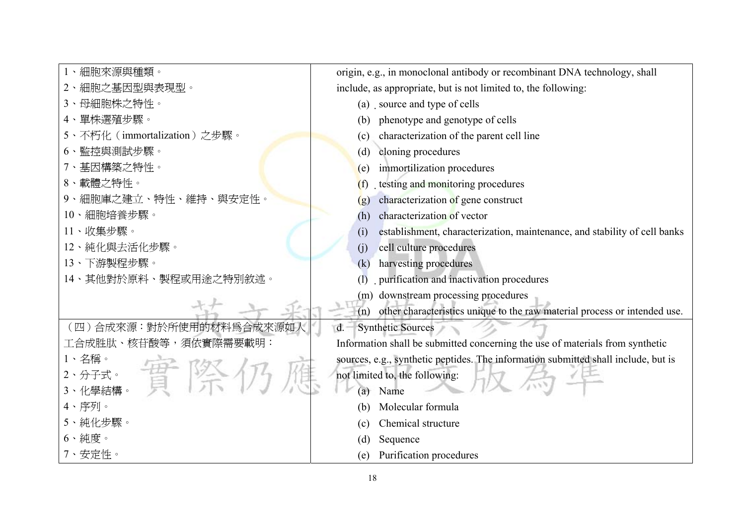| 1、細胞來源與種類。                   | origin, e.g., in monoclonal antibody or recombinant DNA technology, shall          |
|------------------------------|------------------------------------------------------------------------------------|
| 2、細胞之基因型與表現型。                | include, as appropriate, but is not limited to, the following:                     |
| 3、母細胞株之特性。                   | (a) source and type of cells                                                       |
| 4、單株選殖步驟。                    | phenotype and genotype of cells<br>(b)                                             |
| 5、不朽化 (immortalization) 之步驟。 | characterization of the parent cell line<br>(c)                                    |
| 6、監控與測試步驟。                   | cloning procedures<br>(d)                                                          |
| 7、基因構築之特性。                   | immortilization procedures<br>(e)                                                  |
| 8、載體之特性。                     | testing and monitoring procedures<br>(f)                                           |
| 9、細胞庫之建立、特性、維持、與安定性。         | characterization of gene construct<br>(g)                                          |
| 10、細胞培養步驟。                   | characterization of vector<br>(h)                                                  |
| 11、收集步驟。                     | establishment, characterization, maintenance, and stability of cell banks<br>(i)   |
| 12、純化與去活化步驟。                 | cell culture procedures<br>(j)                                                     |
| 13、下游製程步驟。                   | harvesting procedures<br>(k)                                                       |
| 14、其他對於原料、製程或用途之特別敘述。        | purification and inactivation procedures                                           |
|                              | downstream processing procedures<br>(m)                                            |
|                              | other characteristics unique to the raw material process or intended use.<br>(n)   |
| (四)合成來源:對於所使用的材料為合成來源如人      | <b>Synthetic Sources</b><br>$d -$                                                  |
| 工合成胜肽、核苷酸等,須依實際需要載明:         | Information shall be submitted concerning the use of materials from synthetic      |
| 2、分子式。 晋降外                   | sources, e.g., synthetic peptides. The information submitted shall include, but is |
|                              | not limited to, the following:                                                     |
|                              | Name<br>(a)                                                                        |
| 4、序列。                        | Molecular formula<br>(b)                                                           |
| 5、純化步驟。                      | Chemical structure<br>(c)                                                          |
| $6 \cdot  $                  | Sequence<br>(d)                                                                    |
| 7、安定性。                       | Purification procedures<br>(e)                                                     |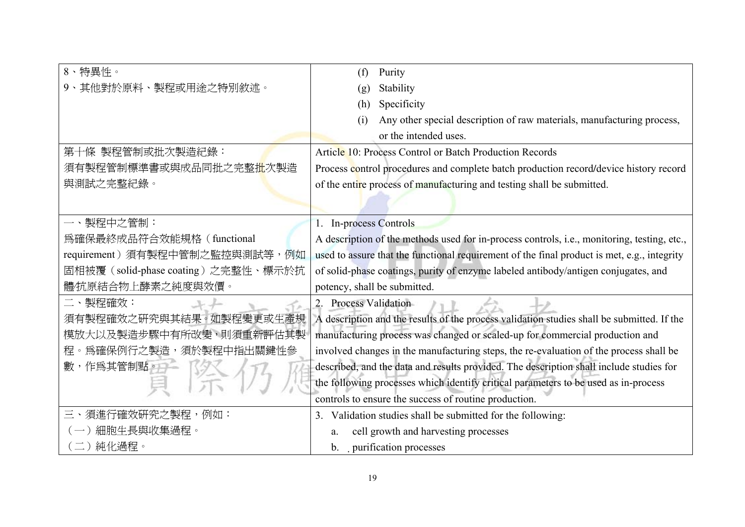| 8、特異性。                             | Purity<br>(f)                                                                               |
|------------------------------------|---------------------------------------------------------------------------------------------|
| 9、其他對於原料、製程或用途之特別敘述。               | Stability<br>(g)                                                                            |
|                                    | Specificity<br>(h)                                                                          |
|                                    | Any other special description of raw materials, manufacturing process,<br>(i)               |
|                                    | or the intended uses.                                                                       |
| 第十條 製程管制或批次製造紀錄:                   | Article 10: Process Control or Batch Production Records                                     |
| 須有製程管制標準書或與成品同批之完整批次製造             | Process control procedures and complete batch production record/device history record       |
| 與測試之完整紀錄。                          | of the entire process of manufacturing and testing shall be submitted.                      |
|                                    |                                                                                             |
| 一、製程中之管制:                          | 1. In-process Controls                                                                      |
| 爲確保最終成品符合效能規格 (functional          | A description of the methods used for in-process controls, i.e., monitoring, testing, etc., |
| requirement) 須有製程中管制之監控與測試等, 例如    | used to assure that the functional requirement of the final product is met, e.g., integrity |
| 固相被覆(solid-phase coating)之完整性、標示於抗 | of solid-phase coatings, purity of enzyme labeled antibody/antigen conjugates, and          |
| 體⁄抗原結合物上酵素之純度與效價。                  | potency, shall be submitted.                                                                |
| 二、製程確效:                            | <b>Process Validation</b>                                                                   |
| 須有製程確效之研究與其結果。如製程變更或生產規            | A description and the results of the process validation studies shall be submitted. If the  |
| 模放大以及製造步驟中有所改變,則須重新評估其製            | manufacturing process was changed or scaled-up for commercial production and                |
| 程。爲確保例行之製造,須於製程中指出關鍵性參             | involved changes in the manufacturing steps, the re-evaluation of the process shall be      |
| 數,作爲其管制點。                          | described, and the data and results provided. The description shall include studies for     |
|                                    | the following processes which identify critical parameters to be used as in-process         |
|                                    | controls to ensure the success of routine production.                                       |
| 三、須進行確效硏究之製程,例如:                   | 3. Validation studies shall be submitted for the following:                                 |
| 細胞生長與收集過程。                         | cell growth and harvesting processes<br>a.                                                  |
| 二) 純化過程。                           | b. purification processes                                                                   |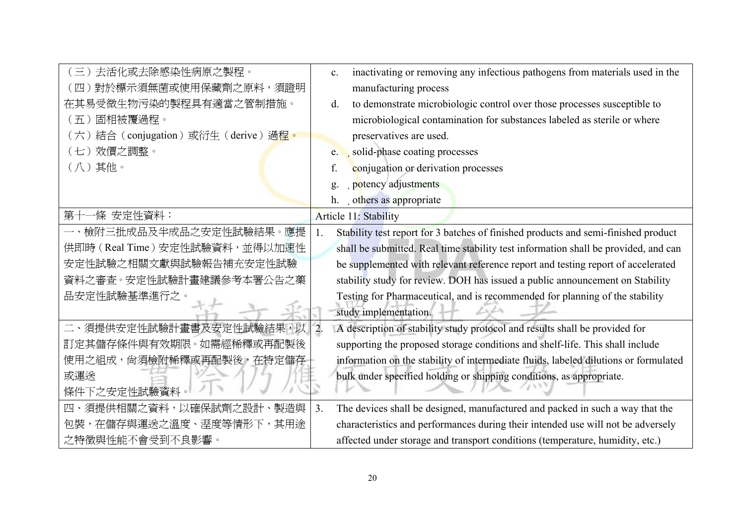| 去活化或去除感染性病原之製程。<br>$\left(\equiv\right)$ | inactivating or removing any infectious pathogens from materials used in the<br>C <sub>1</sub>  |
|------------------------------------------|-------------------------------------------------------------------------------------------------|
| 對於標示須無菌或使用保藏劑之原料,須證明<br>〔四〕              | manufacturing process                                                                           |
| 在其易受微生物污染的製程具有適當之管制措施。                   | to demonstrate microbiologic control over those processes susceptible to<br>d.                  |
| 固相被覆過程。<br>$(\overline{\text{H}})$       | microbiological contamination for substances labeled as sterile or where                        |
| (六)結合 (conjugation)或衍生 (derive)過程。       | preservatives are used.                                                                         |
| 效價之調整。<br>$(\pm)$                        | e. solid-phase coating processes                                                                |
| (八)其他。                                   | conjugation or derivation processes<br>f.                                                       |
|                                          | potency adjustments<br>$\mathbf{g}$                                                             |
|                                          | h. others as appropriate                                                                        |
| ·條 安定性資料:<br>第十                          | Article 11: Stability                                                                           |
| 一、檢附三批成品及半成品之安定性試驗結果。應提                  | Stability test report for 3 batches of finished products and semi-finished product              |
| 供即時 (Real Time) 安定性試驗資料, 並得以加速性          | shall be submitted. Real time stability test information shall be provided, and can             |
| 安定性試驗之相關文獻與試驗報告補充安定性試驗                   | be supplemented with relevant reference report and testing report of accelerated                |
| 資料之審査。安定性試驗計畫建議參考本署公告之藥                  | stability study for review. DOH has issued a public announcement on Stability                   |
| 品安定性試驗基準進行之。                             | Testing for Pharmaceutical, and is recommended for planning of the stability                    |
|                                          | study implementation.                                                                           |
| 二、須提供安定性試驗計畫書及安定性試驗結果,以                  | $\overline{2}$ .<br>A description of stability study protocol and results shall be provided for |
| 訂定其儲存條件與有效期限。如需經稀釋或再配製後                  | supporting the proposed storage conditions and shelf-life. This shall include                   |
| 使用之組成, 尚須檢附稀釋或再配製後, 在特定儲存                | information on the stability of intermediate fluids, labeled dilutions or formulated            |
| 或渾送                                      | bulk under specified holding or shipping conditions, as appropriate.                            |
| 條件下之安定性試驗資料                              |                                                                                                 |
| 須提供相關之資料,以確保試劑之設計<br>製浩與<br>四、           | 3.<br>The devices shall be designed, manufactured and packed in such a way that the             |
| 包裝,在儲存與運送之溫度、溼度等情形下,其用途                  | characteristics and performances during their intended use will not be adversely                |
| 之特徵與性能不會受到不良影響。                          | affected under storage and transport conditions (temperature, humidity, etc.)                   |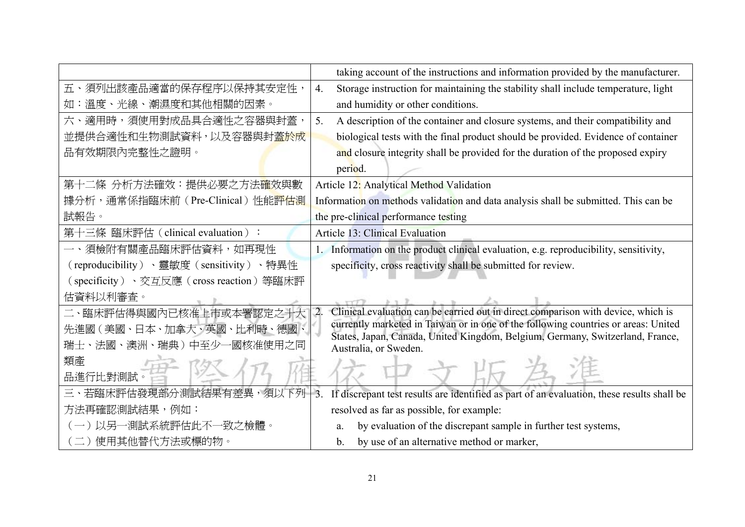|                                          | taking account of the instructions and information provided by the manufacturer.                                                                                    |
|------------------------------------------|---------------------------------------------------------------------------------------------------------------------------------------------------------------------|
| 五、須列出該產品適當的保存程序以保持其安定性,                  | Storage instruction for maintaining the stability shall include temperature, light<br>4.                                                                            |
| 如:溫度、光線、潮濕度和其他相關的因素。                     | and humidity or other conditions.                                                                                                                                   |
| 六、適用時,須使用對成品具合適性之容器與封蓋,                  | 5.<br>A description of the container and closure systems, and their compatibility and                                                                               |
| 並提供合適性和生物測試資料,以及容器與封蓋於成                  | biological tests with the final product should be provided. Evidence of container                                                                                   |
| 品有效期限內完整性之證明。                            | and closure integrity shall be provided for the duration of the proposed expiry                                                                                     |
|                                          | period.                                                                                                                                                             |
| 第十二條 分析方法確效:提供必要之方法確效與數                  | Article 12: Analytical Method Validation                                                                                                                            |
| 據分析,通常係指臨床前(Pre-Clinical)性能評估測           | Information on methods validation and data analysis shall be submitted. This can be                                                                                 |
| 試報告。                                     | the pre-clinical performance testing                                                                                                                                |
| 第十三條 臨床評估 (clinical evaluation):         | Article 13: Clinical Evaluation                                                                                                                                     |
| 一、須檢附有關產品臨床評估資料,如再現性                     | 1. Information on the product clinical evaluation, e.g. reproducibility, sensitivity,                                                                               |
| (reproducibility)、靈敏度 (sensitivity)、特異性  | specificity, cross reactivity shall be submitted for review.                                                                                                        |
| (specificity)、交互反應 (cross reaction) 等臨床評 |                                                                                                                                                                     |
| 估資料以利審查。                                 |                                                                                                                                                                     |
| 二、臨床評估得與國內已核准上市或本署認定之十大                  | Clinical evaluation can be carried out in direct comparison with device, which is<br>$\overline{2}$                                                                 |
| 先進國 (美國、日本、加拿大、英國、比利時、德國、                | currently marketed in Taiwan or in one of the following countries or areas: United<br>States, Japan, Canada, United Kingdom, Belgium, Germany, Switzerland, France, |
| 瑞士、法國、澳洲、瑞典)中至少-<br>-國核准使用之同             | Australia, or Sweden.                                                                                                                                               |
| 類產                                       |                                                                                                                                                                     |
| 品進行比對測試                                  |                                                                                                                                                                     |
| 三、若臨床評估發現部分測試結果有差異,須」<br>下列              | $\overline{3}$<br>If discrepant test results are identified as part of an evaluation, these results shall be                                                        |
| 方法再確認測試結果,例如:                            | resolved as far as possible, for example:                                                                                                                           |
| 以另一測試系統評估此不一致之檢體。                        | by evaluation of the discrepant sample in further test systems,<br>a.                                                                                               |
| (二) 使用其他替代方法或標的物。                        | by use of an alternative method or marker,<br>b.                                                                                                                    |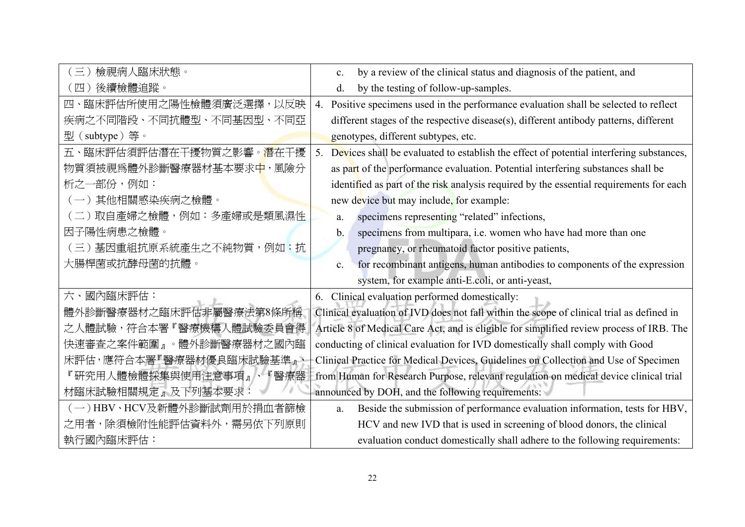| 檢視病人臨床狀態。<br>$\equiv$ )                | by a review of the clinical status and diagnosis of the patient, and<br>$\mathbf{c}$ .       |
|----------------------------------------|----------------------------------------------------------------------------------------------|
| 後續檢體追蹤。<br>(四)                         | by the testing of follow-up-samples.<br>d.                                                   |
| 四、臨床評估所使用之陽性檢體須廣泛選擇,以反映                | Positive specimens used in the performance evaluation shall be selected to reflect<br>4.     |
| 疾病之不同階段、不同抗體型、不同基因型、不同亞                | different stages of the respective disease(s), different antibody patterns, different        |
| 型(subtype)等。                           | genotypes, different subtypes, etc.                                                          |
| 五、臨床評估須評估潛在干擾物質之影響。 <mark>潛</mark> 在干擾 | 5. Devices shall be evaluated to establish the effect of potential interfering substances,   |
| 物質須被視爲體外診斷醫療器材基本要求中,風險分                | as part of the performance evaluation. Potential interfering substances shall be             |
| 析之一部份,例如:                              | identified as part of the risk analysis required by the essential requirements for each      |
| (一)其他相關感染疾病之檢體。                        | new device but may include, for example:                                                     |
| (二) 取自產婦之檢體, 例如: 多產婦或是類風濕性             | specimens representing "related" infections,<br>a.                                           |
| 因子陽性病患之檢體。                             | specimens from multipara, i.e. women who have had more than one<br>b.                        |
| (三) 基因重組抗原系統產生之不純物質,例如:抗               | pregnancy, or rheumatoid factor positive patients,                                           |
| 大腸桿菌或抗酵母菌的抗體。                          | for recombinant antigens, human antibodies to components of the expression<br>$\mathbf{c}$ . |
|                                        | system, for example anti-E.coli, or anti-yeast,                                              |
| 六、國內臨床評估:                              | 6. Clinical evaluation performed domestically:                                               |
| 體外診斷醫療器材之臨床評估非屬醫療法第8條所稱                | Clinical evaluation of IVD does not fall within the scope of clinical trial as defined in    |
| 之人體試驗,符合本署『醫療機構人體試驗委員會得                | Article 8 of Medical Care Act, and is eligible for simplified review process of IRB. The     |
| 快速審查之案件範圍』。體外診斷醫療器材之國內臨                | conducting of clinical evaluation for IVD domestically shall comply with Good                |
| 床評估,應符合本署『醫療器材優良臨床試驗基準』、               | Clinical Practice for Medical Devices, Guidelines on Collection and Use of Specimen          |
| 『硏究用人體檢體採集與使用注意事項』、『醫療器                | from Human for Research Purpose, relevant regulation on medical device clinical trial        |
| 材臨床試驗相關規定』及下列基本要求                      | announced by DOH, and the following requirements:                                            |
| (一)HBV、HCV及新體外診斷試劑用於捐血者篩檢              | Beside the submission of performance evaluation information, tests for HBV,<br>a.            |
| 之用者,除須檢附性能評估資料外,需另依下列原則                | HCV and new IVD that is used in screening of blood donors, the clinical                      |
| 執行國內臨床評估:                              | evaluation conduct domestically shall adhere to the following requirements:                  |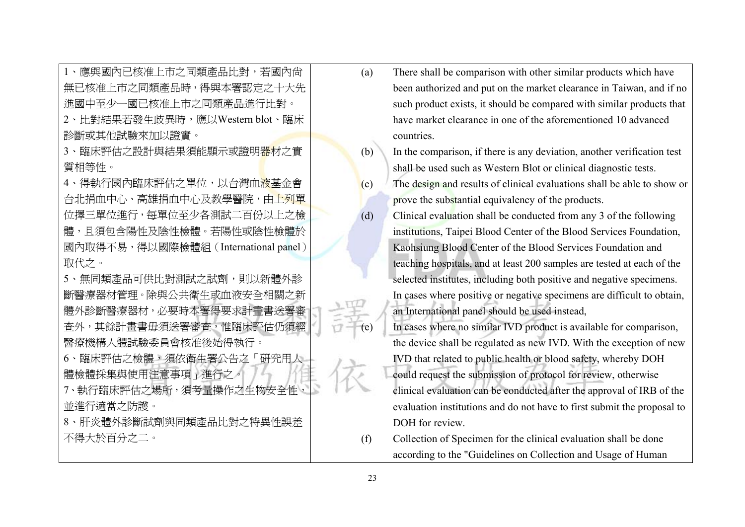| 1、應與國內已核准上市之同類產品比對,若國內尙                | (a) | There shall be comparison with other similar products which have        |
|----------------------------------------|-----|-------------------------------------------------------------------------|
| 無已核准上市之同類產品時,得與本署認定之十大先                |     | been authorized and put on the market clearance in Taiwan, and if no    |
| 進國中至少一國已核准上市之同類產品進行比對。                 |     | such product exists, it should be compared with similar products that   |
| 2、比對結果若發生歧異時,應以Western blot、臨床         |     | have market clearance in one of the aforementioned 10 advanced          |
| 診斷或其他試驗來加以證實。                          |     | countries.                                                              |
| 臨床評估之設計與結果須能顯示或證明器材之實                  | (b) | In the comparison, if there is any deviation, another verification test |
| 質相等性。                                  |     | shall be used such as Western Blot or clinical diagnostic tests.        |
| 4、得執行國內臨床評估之單位,以台灣血 <mark>液基</mark> 金會 | (c) | The design and results of clinical evaluations shall be able to show or |
| 台北捐血中心、高雄捐血中心及教學醫院,由上列單                |     | prove the substantial equivalency of the products.                      |
| 位擇三單位進行,每單位至少各測試二百份以上之檢                | (d) | Clinical evaluation shall be conducted from any 3 of the following      |
| 體,且須包含陽性及陰性檢體。若陽性或陰性檢體於                |     | institutions, Taipei Blood Center of the Blood Services Foundation,     |
| 國內取得不易,得以國際檢體組(International panel)    |     | Kaohsiung Blood Center of the Blood Services Foundation and             |
| 取代之。                                   |     | teaching hospitals, and at least 200 samples are tested at each of the  |
| 5、無同類產品可供比對測試之試劑,則以新體外診                |     | selected institutes, including both positive and negative specimens.    |
| 斷醫療器材管理。除與公共衛生或血液安全相關之新                |     | In cases where positive or negative specimens are difficult to obtain,  |
| 體外診斷醫療器材,必要時本署得要求計畫書送署審                |     | an International panel should be used instead,                          |
| 查外,其餘計畫書毋須送署審查,惟臨床評估仍須經                | (e) | In cases where no similar IVD product is available for comparison,      |
| 醫療機構人體試驗委員會核准後始得執行。                    |     | the device shall be regulated as new IVD. With the exception of new     |
| 6、臨床評估之檢體,須依衛生署公告之「硏究用人」               |     | IVD that related to public health or blood safety, whereby DOH          |
| 體檢體採集與使用注意事項」進行之。                      |     | could request the submission of protocol for review, otherwise          |
| 7、執行臨床評估之場所,須考量操作之生物安全性,               |     | clinical evaluation can be conducted after the approval of IRB of the   |
| 並進行適當之防護。                              |     | evaluation institutions and do not have to first submit the proposal to |
| 8、肝炎體外診斷試劑與同類產品比對之特異性誤差                |     | DOH for review.                                                         |
| 不得大於百分之二。                              | (f) | Collection of Specimen for the clinical evaluation shall be done        |
|                                        |     | according to the "Guidelines on Collection and Usage of Human           |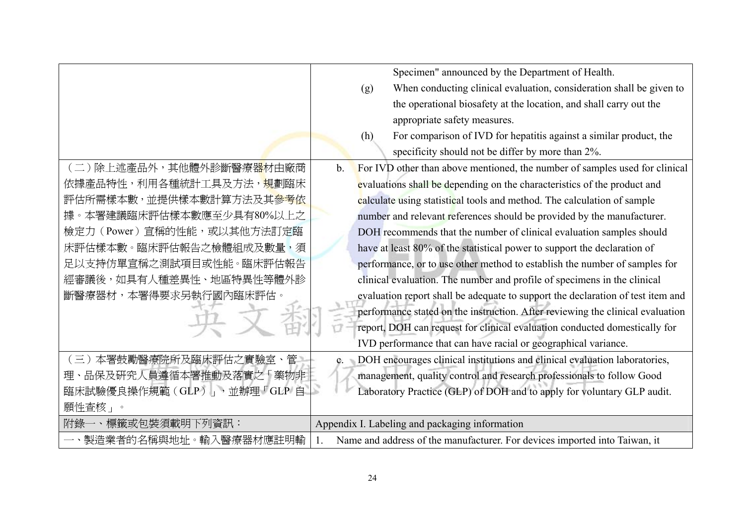|                                        |                | Specimen" announced by the Department of Health.                                |
|----------------------------------------|----------------|---------------------------------------------------------------------------------|
|                                        |                | When conducting clinical evaluation, consideration shall be given to<br>(g)     |
|                                        |                | the operational biosafety at the location, and shall carry out the              |
|                                        |                | appropriate safety measures.                                                    |
|                                        |                | For comparison of IVD for hepatitis against a similar product, the<br>(h)       |
|                                        |                | specificity should not be differ by more than 2%.                               |
| 〔二 〕除上述產品外,其他體外診斷醫療器材由廠商               | $\mathbf{b}$ . | For IVD other than above mentioned, the number of samples used for clinical     |
| 依據產品特性,利用各種統計工具及方法, <mark>規</mark> 劃臨床 |                | evaluations shall be depending on the characteristics of the product and        |
| 評估所需樣本數,並提供樣本數計算方法及其 <mark>參考依</mark>  |                | calculate using statistical tools and method. The calculation of sample         |
| 據。本署建議臨床評估樣本數應至少具有80%以上之               |                | number and relevant references should be provided by the manufacturer.          |
| 檢定力 (Power) 宣稱的性能,或以其他方法訂定臨            |                | DOH recommends that the number of clinical evaluation samples should            |
| 床評估樣本數。臨床評估報告之檢體組成及數量,須                |                | have at least 80% of the statistical power to support the declaration of        |
| 足以支持仿單宣稱之測試項目或性能。臨床評估報告                |                | performance, or to use other method to establish the number of samples for      |
| 經審議後,如具有人種差異性、地區特異性等體外診                |                | clinical evaluation. The number and profile of specimens in the clinical        |
| 斷醫療器材,本署得要求另執行國內臨床評估。                  |                | evaluation report shall be adequate to support the declaration of test item and |
|                                        |                | performance stated on the instruction. After reviewing the clinical evaluation  |
|                                        |                | report, DOH can request for clinical evaluation conducted domestically for      |
|                                        |                | IVD performance that can have racial or geographical variance.                  |
| (三)本署鼓勵醫療院所及臨床評估之實驗室、管                 | $\mathbf{C}$ . | DOH encourages clinical institutions and clinical evaluation laboratories,      |
| 理、品保及研究人員遵循本署推動及落實之「藥物非                |                | management, quality control and research professionals to follow Good           |
| 臨床試驗優良操作規範(GLP)」,並辦理「GLP 自             |                | Laboratory Practice (GLP) of DOH and to apply for voluntary GLP audit.          |
| 願性查核」。                                 |                |                                                                                 |
| 附錄一、標籤或包裝須載明下列資訊:                      |                | Appendix I. Labeling and packaging information                                  |
| 一、製造業者的名稱與地址。輸入醫療器材應註明輸                |                | Name and address of the manufacturer. For devices imported into Taiwan, it      |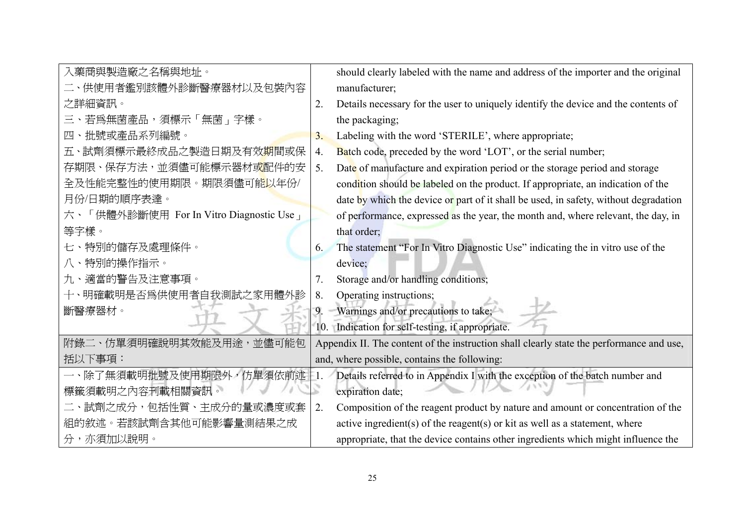| 入藥商與製造廠之名稱與地址。                          |    | should clearly labeled with the name and address of the importer and the original        |
|-----------------------------------------|----|------------------------------------------------------------------------------------------|
| 二、供使用者鑑別該體外診斷醫療器材以及包裝內容                 |    | manufacturer;                                                                            |
| 之詳細資訊。                                  | 2. | Details necessary for the user to uniquely identify the device and the contents of       |
| 三、若爲無菌產品,須標示「無菌」字樣。                     |    | the packaging;                                                                           |
| 批號或產品系列編號。<br>四                         | 3. | Labeling with the word 'STERILE', where appropriate;                                     |
| 五、試劑須標示最終成品之製造日期及有效 <mark>期</mark> 間或保  | 4. | Batch code, preceded by the word 'LOT', or the serial number;                            |
| 存期限、保存方法,並須儘可能標示器材或配件的安                 | 5. | Date of manufacture and expiration period or the storage period and storage              |
| 全及性能完整性的使用期限。期限須儘可能以年份/                 |    | condition should be labeled on the product. If appropriate, an indication of the         |
| 月份/日期的順序表達。                             |    | date by which the device or part of it shall be used, in safety, without degradation     |
| 六、「供體外診斷使用 For In Vitro Diagnostic Use」 |    | of performance, expressed as the year, the month and, where relevant, the day, in        |
| 等字樣。                                    |    | that order;                                                                              |
| 七、特別的儲存及處理條件。                           | 6. | The statement "For In Vitro Diagnostic Use" indicating the in vitro use of the           |
| 八、特別的操作指示。                              |    | device;                                                                                  |
| 九、適當的警告及注意事項。                           |    | Storage and/or handling conditions;                                                      |
| 十、明確載明是否爲供使用者自我測試之家用體外診                 | 8. | Operating instructions;                                                                  |
| 斷醫療器材。                                  | 9. | Warnings and/or precautions to take;                                                     |
|                                         |    | 10. Indication for self-testing, if appropriate.                                         |
| 附錄二、仿單須明確說明其效能及用途,並儘可能包                 |    | Appendix II. The content of the instruction shall clearly state the performance and use, |
| 括以下事項:                                  |    | and, where possible, contains the following:                                             |
| 一、除了無須載明批號及使用期限外,仿單須依前述                 |    | Details referred to in Appendix I with the exception of the batch number and             |
| 標籤須載明之內容刊載相關資訊。                         | S  | expiration date;                                                                         |
| 二、試劑之成分,包括性質、主成分的量或濃度或套                 | 2. | Composition of the reagent product by nature and amount or concentration of the          |
| 組的敘述。若該試劑含其他可能影響量測結果之成                  |    | active ingredient(s) of the reagent(s) or kit as well as a statement, where              |
| 分,亦須加以說明。                               |    | appropriate, that the device contains other ingredients which might influence the        |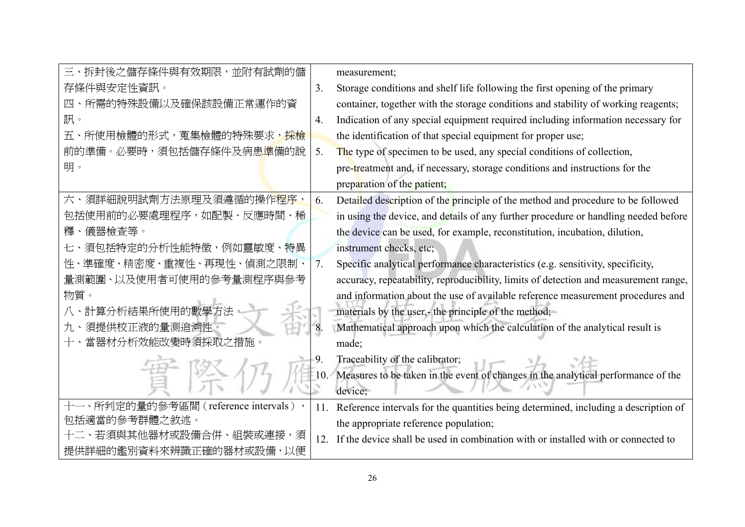| 三、拆封後之儲存條件與有效期限,並附有試劑的儲                |     | measurement;                                                                          |
|----------------------------------------|-----|---------------------------------------------------------------------------------------|
| 存條件與安定性資訊。                             | 3.  | Storage conditions and shelf life following the first opening of the primary          |
| 四、所需的特殊設備以及確保該設備正常運作的資                 |     | container, together with the storage conditions and stability of working reagents;    |
| 訊。                                     | 4.  | Indication of any special equipment required including information necessary for      |
| 五、所使用檢體的形式,蒐集檢體的特殊要求, <mark>採檢</mark>  |     | the identification of that special equipment for proper use;                          |
| 前的準備。必要時,須包括儲存條件及病患 <mark>準</mark> 備的說 | 5.  | The type of specimen to be used, any special conditions of collection,                |
| 明。                                     |     | pre-treatment and, if necessary, storage conditions and instructions for the          |
|                                        |     | preparation of the patient;                                                           |
| 六、須詳細說明試劑方法原理及須遵循的操作 <mark>程序</mark> , | 6.  | Detailed description of the principle of the method and procedure to be followed      |
| 包括使用前的必要處理程序,如配製、反應時間、稀                |     | in using the device, and details of any further procedure or handling needed before   |
| 釋、儀器檢查等。                               |     | the device can be used, for example, reconstitution, incubation, dilution,            |
| 須包括特定的分析性能特徵,例如靈敏度、特異<br>七、            |     | instrument checks, etc;                                                               |
| 性、準確度、精密度、重複性、再現性、偵測之限制、               | 7.  | Specific analytical performance characteristics (e.g. sensitivity, specificity,       |
| 量測範圍、以及使用者可使用的參考量測程序與參考                |     | accuracy, repeatability, reproducibility, limits of detection and measurement range,  |
| 物質。                                    |     | and information about the use of available reference measurement procedures and       |
| 計算分析結果所使用的數學方法                         |     | materials by the user,- the principle of the method;                                  |
| 須提供校正液的量測追溯性。<br>九、                    | 8.  | Mathematical approach upon which the calculation of the analytical result is          |
| 當器材分析效能改變時須採取之措施。                      |     | made;                                                                                 |
|                                        | 9.  | Traceability of the calibrator;                                                       |
|                                        | 10. | Measures to be taken in the event of changes in the analytical performance of the     |
|                                        |     | device;                                                                               |
| 十一、所判定的量的參考區間 (reference intervals),   | 11. | Reference intervals for the quantities being determined, including a description of   |
| 包括適當的參考群體之敘述。                          |     | the appropriate reference population;                                                 |
| 十二、若須與其他器材或設備合併、組裝或連接<br>,須            |     | 12. If the device shall be used in combination with or installed with or connected to |
| 提供詳細的鑑別資料來辨識正確的器材或設備<br>,以便            |     |                                                                                       |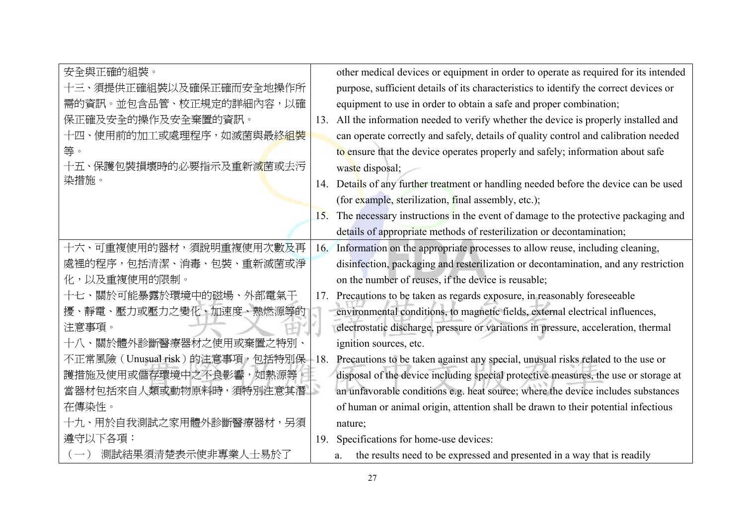| 安全與正確的組裝。                      |     | other medical devices or equipment in order to operate as required for its intended   |
|--------------------------------|-----|---------------------------------------------------------------------------------------|
| 十三、須提供正確組裝以及確保正確而安全地操作所        |     | purpose, sufficient details of its characteristics to identify the correct devices or |
| 需的資訊。並包含品管、校正規定的詳細內容,以確        |     | equipment to use in order to obtain a safe and proper combination;                    |
| 保正確及安全的操作及安全棄置的資訊。             | 13. | All the information needed to verify whether the device is properly installed and     |
| 十四、使用前的加工或處理程序,如滅菌與最終組裝        |     | can operate correctly and safely, details of quality control and calibration needed   |
| 等。                             |     | to ensure that the device operates properly and safely; information about safe        |
| 十五、保護包裝損壞時的必要指示及重新滅菌或去污        |     | waste disposal;                                                                       |
| 染措施。                           | 14. | Details of any further treatment or handling needed before the device can be used     |
|                                |     | (for example, sterilization, final assembly, etc.);                                   |
|                                | 15. | The necessary instructions in the event of damage to the protective packaging and     |
|                                |     | details of appropriate methods of resterilization or decontamination;                 |
| 十六、可重複使用的器材,須說明重複使用次數及再        | 16. | Information on the appropriate processes to allow reuse, including cleaning,          |
| 處裡的程序,包括清潔、消毒、包裝、重新滅菌或淨        |     | disinfection, packaging and resterilization or decontamination, and any restriction   |
| 化,以及重複使用的限制。                   |     | on the number of reuses, if the device is reusable;                                   |
| 十七、關於可能暴露於環境中的磁場、外部電氣干         | 17. | Precautions to be taken as regards exposure, in reasonably foreseeable                |
| 擾、靜電、壓力或壓力之變化、加速度、熱燃源等的        |     | environmental conditions, to magnetic fields, external electrical influences,         |
| 注意事項。                          |     | electrostatic discharge, pressure or variations in pressure, acceleration, thermal    |
| 十八、關於體外診斷醫療器材之使用或棄置之特別、        |     | ignition sources, etc.                                                                |
| 不正常風險(Unusual risk)的注意事項,包括特別保 | 18. | Precautions to be taken against any special, unusual risks related to the use or      |
| 護措施及使用或儲存環境中之不良影響,如熱源等。        |     | disposal of the device including special protective measures, the use or storage at   |
| 當器材包括來自人類或動物原料時,須特別注意其潛        | S   | an unfavorable conditions e.g. heat source; where the device includes substances      |
| 在傳染性。                          |     | of human or animal origin, attention shall be drawn to their potential infectious     |
| 十九、用於自我測試之家用體外診斷醫療器材,另須        |     | nature;                                                                               |
| 遵守以下各項:                        | 19. | Specifications for home-use devices:                                                  |
| 測試結果須清楚表示使非專業人士易於了             |     | the results need to be expressed and presented in a way that is readily<br>a.         |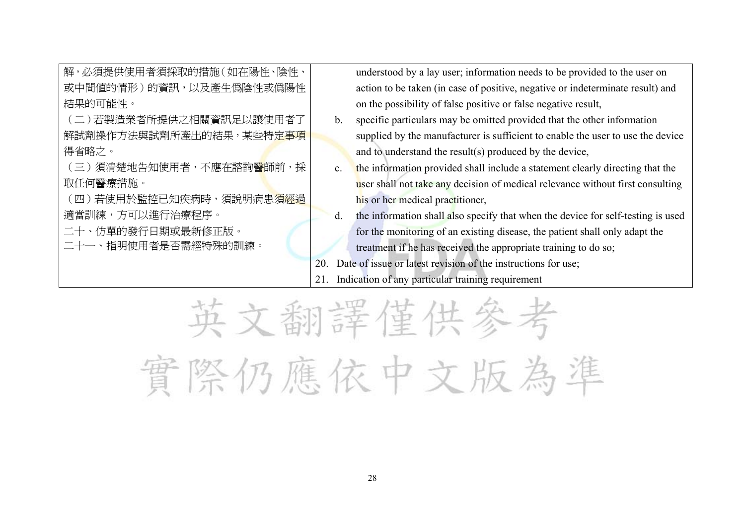| 解,必須提供使用者須採取的措施(如在陽性、陰性、               |                | understood by a lay user; information needs to be provided to the user on        |
|----------------------------------------|----------------|----------------------------------------------------------------------------------|
| 或中間値的情形)的資訊,以及產生僞陰性或僞陽性                |                | action to be taken (in case of positive, negative or indeterminate result) and   |
| 結果的可能性。                                |                | on the possibility of false positive or false negative result,                   |
| (二)若製造業者所提供之相關資訊足以讓使用者了                | $\mathbf{b}$ . | specific particulars may be omitted provided that the other information          |
| 解試劑操作方法與試劑所產出的結果,某些特定事項                |                | supplied by the manufacturer is sufficient to enable the user to use the device  |
| 得省略之。                                  |                | and to understand the result(s) produced by the device,                          |
| (三)須清楚地告知使用者,不應在諮詢 <mark>醫</mark> 師前,採 | $c_{\cdot}$    | the information provided shall include a statement clearly directing that the    |
| 取任何醫療措施。                               |                | user shall not take any decision of medical relevance without first consulting   |
| (四)若使用於監控已知疾病時,須說明病患 <u>須經過</u>        |                | his or her medical practitioner,                                                 |
| 適當訓練,方可以進行治療程序。                        | $d_{\cdot}$    | the information shall also specify that when the device for self-testing is used |
| 二十、仿單的發行日期或最新修正版。                      |                | for the monitoring of an existing disease, the patient shall only adapt the      |
| 二十一、指明使用者是否需經特殊的訓練。                    |                | treatment if he has received the appropriate training to do so;                  |
|                                        | 20.            | Date of issue or latest revision of the instructions for use;                    |
|                                        |                | Indication of any particular training requirement                                |
|                                        |                |                                                                                  |

英文翻譯僅供參考 實際仍應依中文版為準